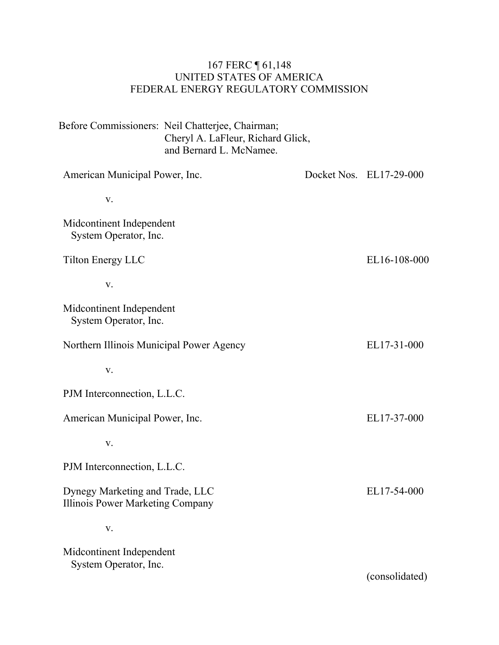### 167 FERC ¶ 61,148 UNITED STATES OF AMERICA FEDERAL ENERGY REGULATORY COMMISSION

| Before Commissioners: Neil Chatterjee, Chairman;<br>Cheryl A. LaFleur, Richard Glick,<br>and Bernard L. McNamee. |  |                         |
|------------------------------------------------------------------------------------------------------------------|--|-------------------------|
| American Municipal Power, Inc.                                                                                   |  | Docket Nos. EL17-29-000 |
| V.                                                                                                               |  |                         |
| Midcontinent Independent<br>System Operator, Inc.                                                                |  |                         |
| <b>Tilton Energy LLC</b>                                                                                         |  | EL16-108-000            |
| V.                                                                                                               |  |                         |
| Midcontinent Independent<br>System Operator, Inc.                                                                |  |                         |
| Northern Illinois Municipal Power Agency                                                                         |  | EL17-31-000             |
| V.                                                                                                               |  |                         |
| PJM Interconnection, L.L.C.                                                                                      |  |                         |
| American Municipal Power, Inc.                                                                                   |  | EL17-37-000             |
| V.                                                                                                               |  |                         |
| PJM Interconnection, L.L.C.                                                                                      |  |                         |
| Dynegy Marketing and Trade, LLC<br>Illinois Power Marketing Company                                              |  | EL17-54-000             |
| ${\bf V}$ .                                                                                                      |  |                         |
| Midcontinent Independent<br>System Operator, Inc.                                                                |  | (consolidated)          |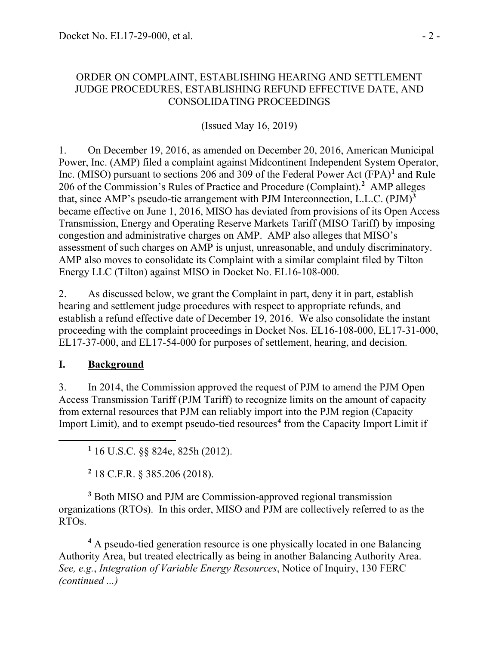#### ORDER ON COMPLAINT, ESTABLISHING HEARING AND SETTLEMENT JUDGE PROCEDURES, ESTABLISHING REFUND EFFECTIVE DATE, AND CONSOLIDATING PROCEEDINGS

(Issued May 16, 2019)

1. On December 19, 2016, as amended on December 20, 2016, American Municipal Power, Inc. (AMP) filed a complaint against Midcontinent Independent System Operator, Inc. (MISO) pursuant to sections 206 and 309 of the Federal Power Act (FPA)**[1](#page-1-0)** and Rule 206 of the Commission's Rules of Practice and Procedure (Complaint). **[2](#page-1-1)** AMP alleges that, since AMP's pseudo-tie arrangement with PJM Interconnection, L.L.C. (PJM)**[3](#page-1-2)** became effective on June 1, 2016, MISO has deviated from provisions of its Open Access Transmission, Energy and Operating Reserve Markets Tariff (MISO Tariff) by imposing congestion and administrative charges on AMP. AMP also alleges that MISO's assessment of such charges on AMP is unjust, unreasonable, and unduly discriminatory. AMP also moves to consolidate its Complaint with a similar complaint filed by Tilton Energy LLC (Tilton) against MISO in Docket No. EL16-108-000.

2. As discussed below, we grant the Complaint in part, deny it in part, establish hearing and settlement judge procedures with respect to appropriate refunds, and establish a refund effective date of December 19, 2016. We also consolidate the instant proceeding with the complaint proceedings in Docket Nos. EL16-108-000, EL17-31-000, EL17-37-000, and EL17-54-000 for purposes of settlement, hearing, and decision.

## **I. Background**

<span id="page-1-0"></span>

3. In 2014, the Commission approved the request of PJM to amend the PJM Open Access Transmission Tariff (PJM Tariff) to recognize limits on the amount of capacity from external resources that PJM can reliably import into the PJM region (Capacity Import Limit), and to exempt pseudo-tied resources<sup>[4](#page-1-3)</sup> from the Capacity Import Limit if

**<sup>1</sup>** 16 U.S.C. §§ 824e, 825h (2012).

**<sup>2</sup>** 18 C.F.R. § 385.206 (2018).

<span id="page-1-2"></span><span id="page-1-1"></span>**<sup>3</sup>** Both MISO and PJM are Commission-approved regional transmission organizations (RTOs). In this order, MISO and PJM are collectively referred to as the RTOs.

<span id="page-1-3"></span>**<sup>4</sup>** A pseudo-tied generation resource is one physically located in one Balancing Authority Area, but treated electrically as being in another Balancing Authority Area. *See, e.g.*, *Integration of Variable Energy Resources*, Notice of Inquiry, 130 FERC *(continued ...)*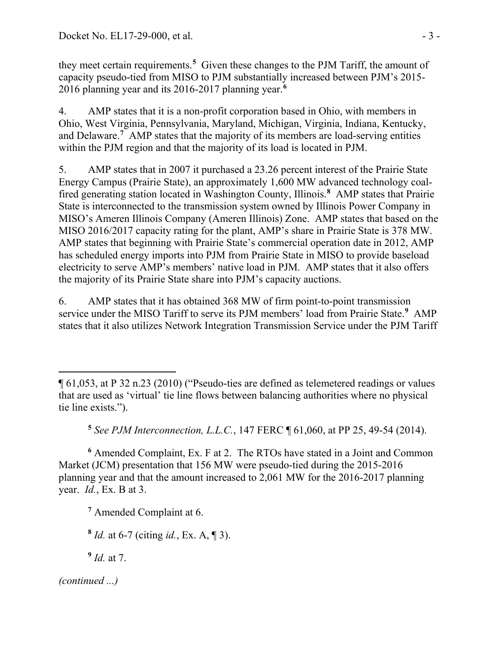they meet certain requirements.**[5](#page-2-0)** Given these changes to the PJM Tariff, the amount of capacity pseudo-tied from MISO to PJM substantially increased between PJM's 2015- 2016 planning year and its 2016-2017 planning year. **[6](#page-2-1)**

4. AMP states that it is a non-profit corporation based in Ohio, with members in Ohio, West Virginia, Pennsylvania, Maryland, Michigan, Virginia, Indiana, Kentucky, and Delaware.**[7](#page-2-2)** AMP states that the majority of its members are load-serving entities within the PJM region and that the majority of its load is located in PJM.

5. AMP states that in 2007 it purchased a 23.26 percent interest of the Prairie State Energy Campus (Prairie State), an approximately 1,600 MW advanced technology coalfired generating station located in Washington County, Illinois.**[8](#page-2-3)** AMP states that Prairie State is interconnected to the transmission system owned by Illinois Power Company in MISO's Ameren Illinois Company (Ameren Illinois) Zone. AMP states that based on the MISO 2016/2017 capacity rating for the plant, AMP's share in Prairie State is 378 MW. AMP states that beginning with Prairie State's commercial operation date in 2012, AMP has scheduled energy imports into PJM from Prairie State in MISO to provide baseload electricity to serve AMP's members' native load in PJM. AMP states that it also offers the majority of its Prairie State share into PJM's capacity auctions.

6. AMP states that it has obtained 368 MW of firm point-to-point transmission service under the MISO Tariff to serve its PJM members' load from Prairie State.**[9](#page-2-4)** AMP states that it also utilizes Network Integration Transmission Service under the PJM Tariff

**<sup>5</sup>** *See PJM Interconnection, L.L.C.*, 147 FERC ¶ 61,060, at PP 25, 49-54 (2014).

<span id="page-2-2"></span><span id="page-2-1"></span><span id="page-2-0"></span>**<sup>6</sup>** Amended Complaint, Ex. F at 2. The RTOs have stated in a Joint and Common Market (JCM) presentation that 156 MW were pseudo-tied during the 2015-2016 planning year and that the amount increased to 2,061 MW for the 2016-2017 planning year. *Id.*, Ex. B at 3.

**<sup>7</sup>** Amended Complaint at 6.

<span id="page-2-3"></span>**<sup>8</sup>** *Id.* at 6-7 (citing *id.*, Ex. A, ¶ 3).

<span id="page-2-4"></span>**<sup>9</sup>** *Id.* at 7.

 $\overline{a}$ ¶ 61,053, at P 32 n.23 (2010) ("Pseudo-ties are defined as telemetered readings or values that are used as 'virtual' tie line flows between balancing authorities where no physical tie line exists.").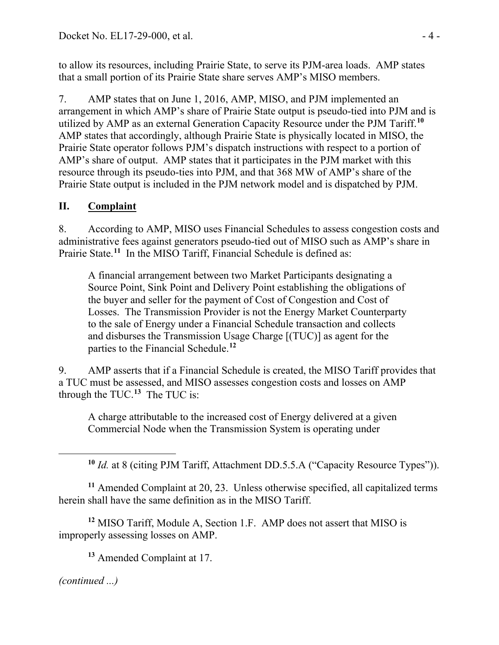to allow its resources, including Prairie State, to serve its PJM-area loads. AMP states that a small portion of its Prairie State share serves AMP's MISO members.

7. AMP states that on June 1, 2016, AMP, MISO, and PJM implemented an arrangement in which AMP's share of Prairie State output is pseudo-tied into PJM and is utilized by AMP as an external Generation Capacity Resource under the PJM Tariff. **[10](#page-3-0)** AMP states that accordingly, although Prairie State is physically located in MISO, the Prairie State operator follows PJM's dispatch instructions with respect to a portion of AMP's share of output. AMP states that it participates in the PJM market with this resource through its pseudo-ties into PJM, and that 368 MW of AMP's share of the Prairie State output is included in the PJM network model and is dispatched by PJM.

# **II. Complaint**

8. According to AMP, MISO uses Financial Schedules to assess congestion costs and administrative fees against generators pseudo-tied out of MISO such as AMP's share in Prairie State.<sup>[11](#page-3-1)</sup> In the MISO Tariff, Financial Schedule is defined as:

A financial arrangement between two Market Participants designating a Source Point, Sink Point and Delivery Point establishing the obligations of the buyer and seller for the payment of Cost of Congestion and Cost of Losses. The Transmission Provider is not the Energy Market Counterparty to the sale of Energy under a Financial Schedule transaction and collects and disburses the Transmission Usage Charge [(TUC)] as agent for the parties to the Financial Schedule.**[12](#page-3-2)**

9. AMP asserts that if a Financial Schedule is created, the MISO Tariff provides that a TUC must be assessed, and MISO assesses congestion costs and losses on AMP through the TUC.**[13](#page-3-3)** The TUC is:

A charge attributable to the increased cost of Energy delivered at a given Commercial Node when the Transmission System is operating under

**<sup>10</sup>** *Id.* at 8 (citing PJM Tariff, Attachment DD.5.5.A ("Capacity Resource Types")).

<span id="page-3-1"></span>**<sup>11</sup>** Amended Complaint at 20, 23. Unless otherwise specified, all capitalized terms herein shall have the same definition as in the MISO Tariff.

<span id="page-3-2"></span>**<sup>12</sup>** MISO Tariff, Module A, Section 1.F. AMP does not assert that MISO is improperly assessing losses on AMP.

**<sup>13</sup>** Amended Complaint at 17.

<span id="page-3-3"></span>*(continued ...)*

<span id="page-3-0"></span>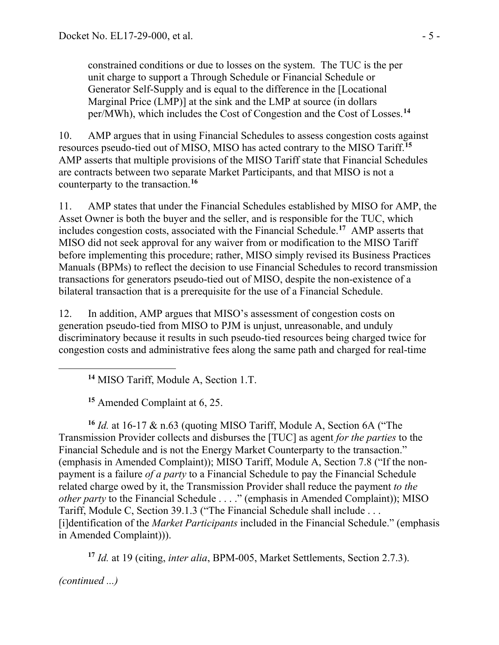constrained conditions or due to losses on the system. The TUC is the per unit charge to support a Through Schedule or Financial Schedule or Generator Self-Supply and is equal to the difference in the [Locational Marginal Price (LMP)] at the sink and the LMP at source (in dollars per/MWh), which includes the Cost of Congestion and the Cost of Losses.**[14](#page-4-0)**

10. AMP argues that in using Financial Schedules to assess congestion costs against resources pseudo-tied out of MISO, MISO has acted contrary to the MISO Tariff.**[15](#page-4-1)** AMP asserts that multiple provisions of the MISO Tariff state that Financial Schedules are contracts between two separate Market Participants, and that MISO is not a counterparty to the transaction.**[16](#page-4-2)**

11. AMP states that under the Financial Schedules established by MISO for AMP, the Asset Owner is both the buyer and the seller, and is responsible for the TUC, which includes congestion costs, associated with the Financial Schedule. **[17](#page-4-3)** AMP asserts that MISO did not seek approval for any waiver from or modification to the MISO Tariff before implementing this procedure; rather, MISO simply revised its Business Practices Manuals (BPMs) to reflect the decision to use Financial Schedules to record transmission transactions for generators pseudo-tied out of MISO, despite the non-existence of a bilateral transaction that is a prerequisite for the use of a Financial Schedule.

12. In addition, AMP argues that MISO's assessment of congestion costs on generation pseudo-tied from MISO to PJM is unjust, unreasonable, and unduly discriminatory because it results in such pseudo-tied resources being charged twice for congestion costs and administrative fees along the same path and charged for real-time

**<sup>14</sup>** MISO Tariff, Module A, Section 1.T.

**<sup>15</sup>** Amended Complaint at 6, 25.

<span id="page-4-2"></span><span id="page-4-1"></span>**<sup>16</sup>** *Id.* at 16-17 & n.63 (quoting MISO Tariff, Module A, Section 6A ("The Transmission Provider collects and disburses the [TUC] as agent *for the parties* to the Financial Schedule and is not the Energy Market Counterparty to the transaction." (emphasis in Amended Complaint)); MISO Tariff, Module A, Section 7.8 ("If the nonpayment is a failure *of a party* to a Financial Schedule to pay the Financial Schedule related charge owed by it, the Transmission Provider shall reduce the payment *to the other party* to the Financial Schedule . . . ." (emphasis in Amended Complaint)); MISO Tariff, Module C, Section 39.1.3 ("The Financial Schedule shall include . . . [i]dentification of the *Market Participants* included in the Financial Schedule." (emphasis in Amended Complaint))).

**<sup>17</sup>** *Id.* at 19 (citing, *inter alia*, BPM-005, Market Settlements, Section 2.7.3).

<span id="page-4-3"></span>*(continued ...)*

<span id="page-4-0"></span>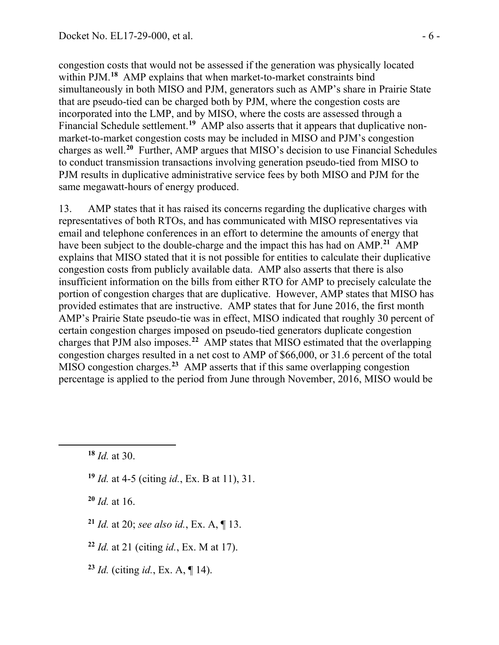congestion costs that would not be assessed if the generation was physically located within PJM. **[18](#page-5-0)** AMP explains that when market-to-market constraints bind simultaneously in both MISO and PJM, generators such as AMP's share in Prairie State that are pseudo-tied can be charged both by PJM, where the congestion costs are incorporated into the LMP, and by MISO, where the costs are assessed through a Financial Schedule settlement.<sup>[19](#page-5-1)</sup> AMP also asserts that it appears that duplicative nonmarket-to-market congestion costs may be included in MISO and PJM's congestion charges as well.**[20](#page-5-2)** Further, AMP argues that MISO's decision to use Financial Schedules to conduct transmission transactions involving generation pseudo-tied from MISO to PJM results in duplicative administrative service fees by both MISO and PJM for the same megawatt-hours of energy produced.

13. AMP states that it has raised its concerns regarding the duplicative charges with representatives of both RTOs, and has communicated with MISO representatives via email and telephone conferences in an effort to determine the amounts of energy that have been subject to the double-charge and the impact this has had on AMP. **[21](#page-5-3)** AMP explains that MISO stated that it is not possible for entities to calculate their duplicative congestion costs from publicly available data. AMP also asserts that there is also insufficient information on the bills from either RTO for AMP to precisely calculate the portion of congestion charges that are duplicative. However, AMP states that MISO has provided estimates that are instructive. AMP states that for June 2016, the first month AMP's Prairie State pseudo-tie was in effect, MISO indicated that roughly 30 percent of certain congestion charges imposed on pseudo-tied generators duplicate congestion charges that PJM also imposes.**[22](#page-5-4)** AMP states that MISO estimated that the overlapping congestion charges resulted in a net cost to AMP of \$66,000, or 31.6 percent of the total MISO congestion charges.**[23](#page-5-5)** AMP asserts that if this same overlapping congestion percentage is applied to the period from June through November, 2016, MISO would be

**<sup>18</sup>** *Id.* at 30.

<span id="page-5-2"></span><span id="page-5-1"></span><span id="page-5-0"></span> $\overline{a}$ 

**<sup>19</sup>** *Id.* at 4-5 (citing *id.*, Ex. B at 11), 31.

**<sup>20</sup>** *Id.* at 16.

- <span id="page-5-3"></span>**<sup>21</sup>** *Id.* at 20; *see also id.*, Ex. A, ¶ 13.
- <span id="page-5-4"></span>**<sup>22</sup>** *Id.* at 21 (citing *id.*, Ex. M at 17).
- <span id="page-5-5"></span>**<sup>23</sup>** *Id.* (citing *id.*, Ex. A, ¶ 14).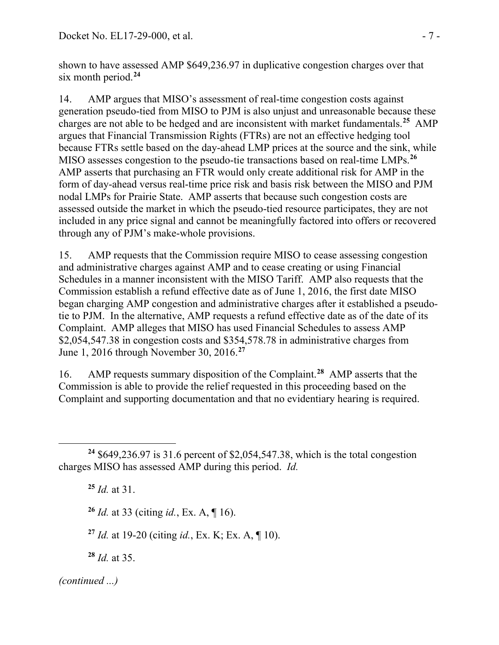shown to have assessed AMP \$649,236.97 in duplicative congestion charges over that six month period.**[24](#page-6-0)**

14. AMP argues that MISO's assessment of real-time congestion costs against generation pseudo-tied from MISO to PJM is also unjust and unreasonable because these charges are not able to be hedged and are inconsistent with market fundamentals.**[25](#page-6-1)** AMP argues that Financial Transmission Rights (FTRs) are not an effective hedging tool because FTRs settle based on the day-ahead LMP prices at the source and the sink, while MISO assesses congestion to the pseudo-tie transactions based on real-time LMPs. **[26](#page-6-2)** AMP asserts that purchasing an FTR would only create additional risk for AMP in the form of day-ahead versus real-time price risk and basis risk between the MISO and PJM nodal LMPs for Prairie State. AMP asserts that because such congestion costs are assessed outside the market in which the pseudo-tied resource participates, they are not included in any price signal and cannot be meaningfully factored into offers or recovered through any of PJM's make-whole provisions.

15. AMP requests that the Commission require MISO to cease assessing congestion and administrative charges against AMP and to cease creating or using Financial Schedules in a manner inconsistent with the MISO Tariff. AMP also requests that the Commission establish a refund effective date as of June 1, 2016, the first date MISO began charging AMP congestion and administrative charges after it established a pseudotie to PJM. In the alternative, AMP requests a refund effective date as of the date of its Complaint. AMP alleges that MISO has used Financial Schedules to assess AMP \$2,054,547.38 in congestion costs and \$354,578.78 in administrative charges from June 1, 2016 through November 30, 2016. **[27](#page-6-3)**

16. AMP requests summary disposition of the Complaint.**[28](#page-6-4)** AMP asserts that the Commission is able to provide the relief requested in this proceeding based on the Complaint and supporting documentation and that no evidentiary hearing is required.

**<sup>25</sup>** *Id.* at 31.

**<sup>26</sup>** *Id.* at 33 (citing *id.*, Ex. A, ¶ 16).

**<sup>27</sup>** *Id.* at 19-20 (citing *id.*, Ex. K; Ex. A, ¶ 10).

**<sup>28</sup>** *Id.* at 35.

<span id="page-6-4"></span><span id="page-6-3"></span>*(continued ...)*

<span id="page-6-2"></span><span id="page-6-1"></span><span id="page-6-0"></span>**<sup>24</sup>** \$649,236.97 is 31.6 percent of \$2,054,547.38, which is the total congestion charges MISO has assessed AMP during this period. *Id.*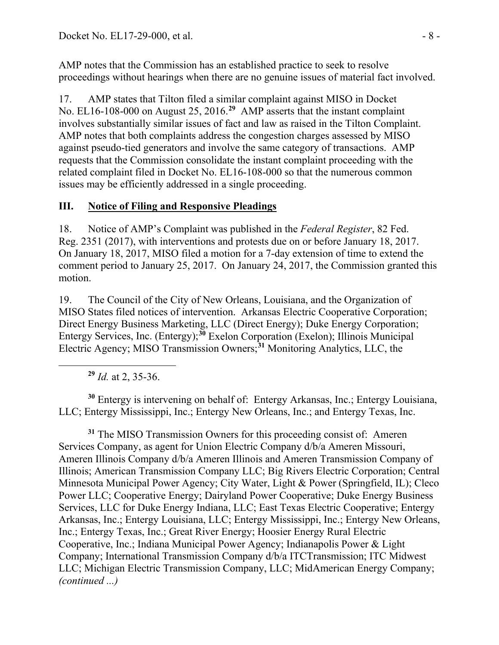AMP notes that the Commission has an established practice to seek to resolve proceedings without hearings when there are no genuine issues of material fact involved.

17. AMP states that Tilton filed a similar complaint against MISO in Docket No. EL16-108-000 on August 25, 2016.**[29](#page-7-0)** AMP asserts that the instant complaint involves substantially similar issues of fact and law as raised in the Tilton Complaint. AMP notes that both complaints address the congestion charges assessed by MISO against pseudo-tied generators and involve the same category of transactions. AMP requests that the Commission consolidate the instant complaint proceeding with the related complaint filed in Docket No. EL16-108-000 so that the numerous common issues may be efficiently addressed in a single proceeding.

## **III. Notice of Filing and Responsive Pleadings**

18. Notice of AMP's Complaint was published in the *Federal Register*, 82 Fed. Reg. 2351 (2017), with interventions and protests due on or before January 18, 2017. On January 18, 2017, MISO filed a motion for a 7-day extension of time to extend the comment period to January 25, 2017. On January 24, 2017, the Commission granted this motion.

19. The Council of the City of New Orleans, Louisiana, and the Organization of MISO States filed notices of intervention. Arkansas Electric Cooperative Corporation; Direct Energy Business Marketing, LLC (Direct Energy); Duke Energy Corporation; Entergy Services, Inc. (Entergy);**[30](#page-7-1)** Exelon Corporation (Exelon); Illinois Municipal Electric Agency; MISO Transmission Owners;**[31](#page-7-2)** Monitoring Analytics, LLC, the

**<sup>29</sup>** *Id.* at 2, 35-36.

<span id="page-7-0"></span> $\overline{a}$ 

<span id="page-7-1"></span>**<sup>30</sup>** Entergy is intervening on behalf of: Entergy Arkansas, Inc.; Entergy Louisiana, LLC; Entergy Mississippi, Inc.; Entergy New Orleans, Inc.; and Entergy Texas, Inc.

<span id="page-7-2"></span>**<sup>31</sup>** The MISO Transmission Owners for this proceeding consist of: Ameren Services Company, as agent for Union Electric Company d/b/a Ameren Missouri, Ameren Illinois Company d/b/a Ameren Illinois and Ameren Transmission Company of Illinois; American Transmission Company LLC; Big Rivers Electric Corporation; Central Minnesota Municipal Power Agency; City Water, Light & Power (Springfield, IL); Cleco Power LLC; Cooperative Energy; Dairyland Power Cooperative; Duke Energy Business Services, LLC for Duke Energy Indiana, LLC; East Texas Electric Cooperative; Entergy Arkansas, Inc.; Entergy Louisiana, LLC; Entergy Mississippi, Inc.; Entergy New Orleans, Inc.; Entergy Texas, Inc.; Great River Energy; Hoosier Energy Rural Electric Cooperative, Inc.; Indiana Municipal Power Agency; Indianapolis Power & Light Company; International Transmission Company d/b/a ITCTransmission; ITC Midwest LLC; Michigan Electric Transmission Company, LLC; MidAmerican Energy Company; *(continued ...)*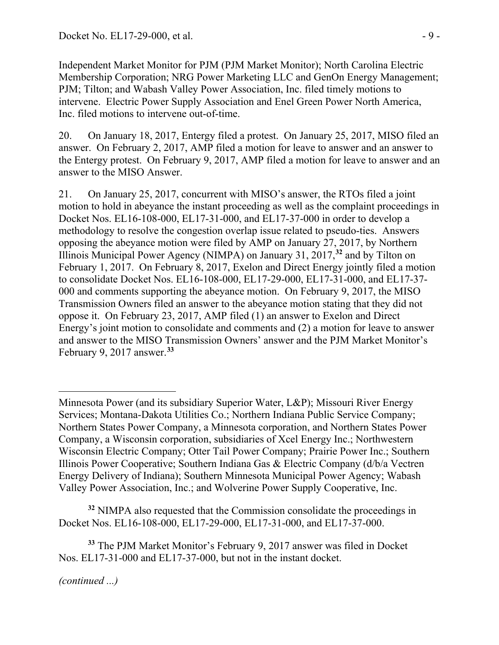Independent Market Monitor for PJM (PJM Market Monitor); North Carolina Electric Membership Corporation; NRG Power Marketing LLC and GenOn Energy Management; PJM; Tilton; and Wabash Valley Power Association, Inc. filed timely motions to intervene. Electric Power Supply Association and Enel Green Power North America, Inc. filed motions to intervene out-of-time.

20. On January 18, 2017, Entergy filed a protest. On January 25, 2017, MISO filed an answer. On February 2, 2017, AMP filed a motion for leave to answer and an answer to the Entergy protest. On February 9, 2017, AMP filed a motion for leave to answer and an answer to the MISO Answer.

21. On January 25, 2017, concurrent with MISO's answer, the RTOs filed a joint motion to hold in abeyance the instant proceeding as well as the complaint proceedings in Docket Nos. EL16-108-000, EL17-31-000, and EL17-37-000 in order to develop a methodology to resolve the congestion overlap issue related to pseudo-ties. Answers opposing the abeyance motion were filed by AMP on January 27, 2017, by Northern Illinois Municipal Power Agency (NIMPA) on January 31, 2017,**[32](#page-8-0)** and by Tilton on February 1, 2017. On February 8, 2017, Exelon and Direct Energy jointly filed a motion to consolidate Docket Nos. EL16-108-000, EL17-29-000, EL17-31-000, and EL17-37- 000 and comments supporting the abeyance motion. On February 9, 2017, the MISO Transmission Owners filed an answer to the abeyance motion stating that they did not oppose it. On February 23, 2017, AMP filed (1) an answer to Exelon and Direct Energy's joint motion to consolidate and comments and (2) a motion for leave to answer and answer to the MISO Transmission Owners' answer and the PJM Market Monitor's February 9, 2017 answer. **[33](#page-8-1)**

<span id="page-8-0"></span>**<sup>32</sup>** NIMPA also requested that the Commission consolidate the proceedings in Docket Nos. EL16-108-000, EL17-29-000, EL17-31-000, and EL17-37-000.

<span id="page-8-1"></span>**<sup>33</sup>** The PJM Market Monitor's February 9, 2017 answer was filed in Docket Nos. EL17-31-000 and EL17-37-000, but not in the instant docket.

 $\overline{a}$ Minnesota Power (and its subsidiary Superior Water, L&P); Missouri River Energy Services; Montana-Dakota Utilities Co.; Northern Indiana Public Service Company; Northern States Power Company, a Minnesota corporation, and Northern States Power Company, a Wisconsin corporation, subsidiaries of Xcel Energy Inc.; Northwestern Wisconsin Electric Company; Otter Tail Power Company; Prairie Power Inc.; Southern Illinois Power Cooperative; Southern Indiana Gas & Electric Company (d/b/a Vectren Energy Delivery of Indiana); Southern Minnesota Municipal Power Agency; Wabash Valley Power Association, Inc.; and Wolverine Power Supply Cooperative, Inc.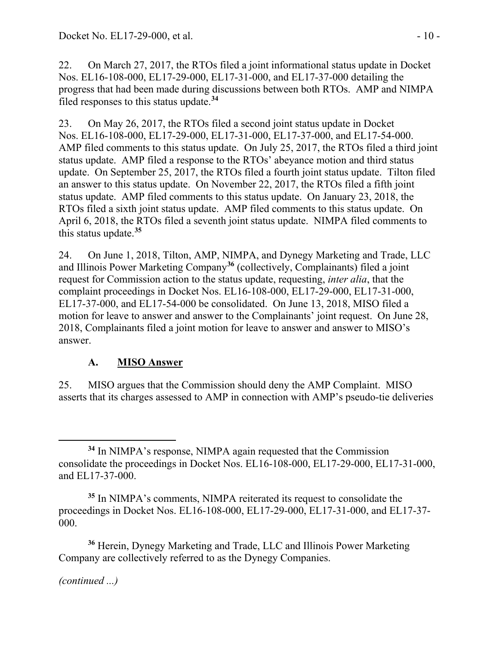22. On March 27, 2017, the RTOs filed a joint informational status update in Docket Nos. EL16-108-000, EL17-29-000, EL17-31-000, and EL17-37-000 detailing the progress that had been made during discussions between both RTOs. AMP and NIMPA filed responses to this status update.**[34](#page-9-0)**

23. On May 26, 2017, the RTOs filed a second joint status update in Docket Nos. EL16-108-000, EL17-29-000, EL17-31-000, EL17-37-000, and EL17-54-000. AMP filed comments to this status update. On July 25, 2017, the RTOs filed a third joint status update. AMP filed a response to the RTOs' abeyance motion and third status update. On September 25, 2017, the RTOs filed a fourth joint status update. Tilton filed an answer to this status update. On November 22, 2017, the RTOs filed a fifth joint status update. AMP filed comments to this status update. On January 23, 2018, the RTOs filed a sixth joint status update. AMP filed comments to this status update. On April 6, 2018, the RTOs filed a seventh joint status update. NIMPA filed comments to this status update. **[35](#page-9-1)**

24. On June 1, 2018, Tilton, AMP, NIMPA, and Dynegy Marketing and Trade, LLC and Illinois Power Marketing Company**[36](#page-9-2)** (collectively, Complainants) filed a joint request for Commission action to the status update, requesting, *inter alia*, that the complaint proceedings in Docket Nos. EL16-108-000, EL17-29-000, EL17-31-000, EL17-37-000, and EL17-54-000 be consolidated. On June 13, 2018, MISO filed a motion for leave to answer and answer to the Complainants' joint request. On June 28, 2018, Complainants filed a joint motion for leave to answer and answer to MISO's answer.

## **A. MISO Answer**

25. MISO argues that the Commission should deny the AMP Complaint. MISO asserts that its charges assessed to AMP in connection with AMP's pseudo-tie deliveries

<span id="page-9-2"></span>**<sup>36</sup>** Herein, Dynegy Marketing and Trade, LLC and Illinois Power Marketing Company are collectively referred to as the Dynegy Companies.

<span id="page-9-0"></span>**<sup>34</sup>** In NIMPA's response, NIMPA again requested that the Commission consolidate the proceedings in Docket Nos. EL16-108-000, EL17-29-000, EL17-31-000, and EL17-37-000.

<span id="page-9-1"></span>**<sup>35</sup>** In NIMPA's comments, NIMPA reiterated its request to consolidate the proceedings in Docket Nos. EL16-108-000, EL17-29-000, EL17-31-000, and EL17-37- 000.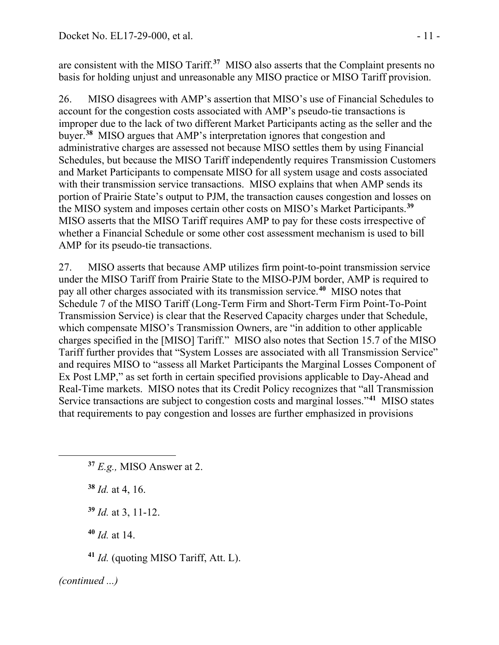are consistent with the MISO Tariff. **[37](#page-10-0)** MISO also asserts that the Complaint presents no basis for holding unjust and unreasonable any MISO practice or MISO Tariff provision.

26. MISO disagrees with AMP's assertion that MISO's use of Financial Schedules to account for the congestion costs associated with AMP's pseudo-tie transactions is improper due to the lack of two different Market Participants acting as the seller and the buyer.**[38](#page-10-1)** MISO argues that AMP's interpretation ignores that congestion and administrative charges are assessed not because MISO settles them by using Financial Schedules, but because the MISO Tariff independently requires Transmission Customers and Market Participants to compensate MISO for all system usage and costs associated with their transmission service transactions. MISO explains that when AMP sends its portion of Prairie State's output to PJM, the transaction causes congestion and losses on the MISO system and imposes certain other costs on MISO's Market Participants.**[39](#page-10-2)** MISO asserts that the MISO Tariff requires AMP to pay for these costs irrespective of whether a Financial Schedule or some other cost assessment mechanism is used to bill AMP for its pseudo-tie transactions.

27. MISO asserts that because AMP utilizes firm point-to-point transmission service under the MISO Tariff from Prairie State to the MISO-PJM border, AMP is required to pay all other charges associated with its transmission service.**[40](#page-10-3)** MISO notes that Schedule 7 of the MISO Tariff (Long-Term Firm and Short-Term Firm Point-To-Point Transmission Service) is clear that the Reserved Capacity charges under that Schedule, which compensate MISO's Transmission Owners, are "in addition to other applicable charges specified in the [MISO] Tariff." MISO also notes that Section 15.7 of the MISO Tariff further provides that "System Losses are associated with all Transmission Service" and requires MISO to "assess all Market Participants the Marginal Losses Component of Ex Post LMP," as set forth in certain specified provisions applicable to Day-Ahead and Real-Time markets. MISO notes that its Credit Policy recognizes that "all Transmission Service transactions are subject to congestion costs and marginal losses."**[41](#page-10-4)** MISO states that requirements to pay congestion and losses are further emphasized in provisions

- <span id="page-10-0"></span>**<sup>37</sup>** *E.g.,* MISO Answer at 2.
- <span id="page-10-1"></span>**<sup>38</sup>** *Id.* at 4, 16.
- <span id="page-10-2"></span>**<sup>39</sup>** *Id.* at 3, 11-12.
- **<sup>40</sup>** *Id.* at 14.
- **<sup>41</sup>** *Id.* (quoting MISO Tariff, Att. L).

<span id="page-10-4"></span><span id="page-10-3"></span>*(continued ...)*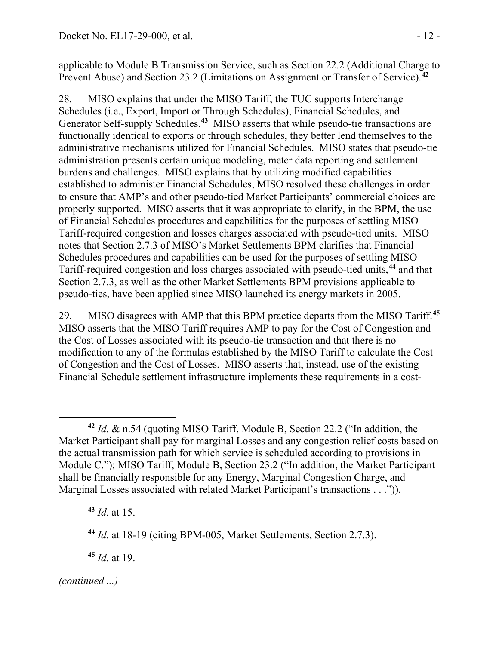applicable to Module B Transmission Service, such as Section 22.2 (Additional Charge to Prevent Abuse) and Section 23.2 (Limitations on Assignment or Transfer of Service).**[42](#page-11-0)**

28. MISO explains that under the MISO Tariff, the TUC supports Interchange Schedules (i.e., Export, Import or Through Schedules), Financial Schedules, and Generator Self-supply Schedules.**[43](#page-11-1)** MISO asserts that while pseudo-tie transactions are functionally identical to exports or through schedules, they better lend themselves to the administrative mechanisms utilized for Financial Schedules. MISO states that pseudo-tie administration presents certain unique modeling, meter data reporting and settlement burdens and challenges. MISO explains that by utilizing modified capabilities established to administer Financial Schedules, MISO resolved these challenges in order to ensure that AMP's and other pseudo-tied Market Participants' commercial choices are properly supported. MISO asserts that it was appropriate to clarify, in the BPM, the use of Financial Schedules procedures and capabilities for the purposes of settling MISO Tariff-required congestion and losses charges associated with pseudo-tied units. MISO notes that Section 2.7.3 of MISO's Market Settlements BPM clarifies that Financial Schedules procedures and capabilities can be used for the purposes of settling MISO Tariff-required congestion and loss charges associated with pseudo-tied units,**[44](#page-11-2)** and that Section 2.7.3, as well as the other Market Settlements BPM provisions applicable to pseudo-ties, have been applied since MISO launched its energy markets in 2005.

29. MISO disagrees with AMP that this BPM practice departs from the MISO Tariff.**[45](#page-11-3)** MISO asserts that the MISO Tariff requires AMP to pay for the Cost of Congestion and the Cost of Losses associated with its pseudo-tie transaction and that there is no modification to any of the formulas established by the MISO Tariff to calculate the Cost of Congestion and the Cost of Losses. MISO asserts that, instead, use of the existing Financial Schedule settlement infrastructure implements these requirements in a cost-

<span id="page-11-1"></span>**<sup>43</sup>** *Id.* at 15.

<span id="page-11-3"></span>**<sup>45</sup>** *Id.* at 19.

<span id="page-11-0"></span> $\overline{a}$ **<sup>42</sup>** *Id.* & n.54 (quoting MISO Tariff, Module B, Section 22.2 ("In addition, the Market Participant shall pay for marginal Losses and any congestion relief costs based on the actual transmission path for which service is scheduled according to provisions in Module C."); MISO Tariff, Module B, Section 23.2 ("In addition, the Market Participant shall be financially responsible for any Energy, Marginal Congestion Charge, and Marginal Losses associated with related Market Participant's transactions . . .")).

<span id="page-11-2"></span>**<sup>44</sup>** *Id.* at 18-19 (citing BPM-005, Market Settlements, Section 2.7.3).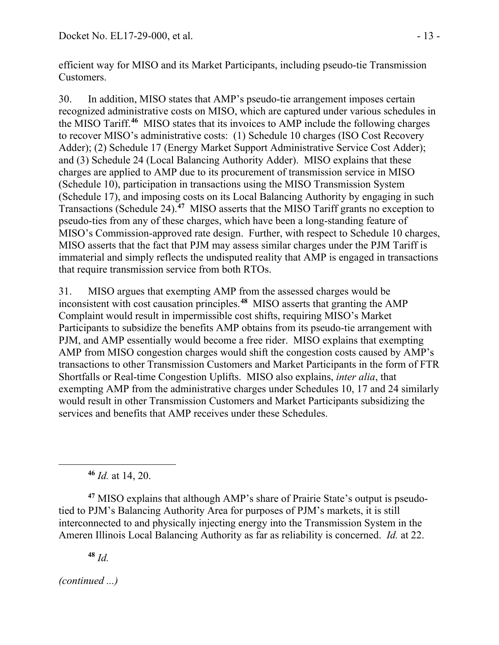efficient way for MISO and its Market Participants, including pseudo-tie Transmission Customers.

30. In addition, MISO states that AMP's pseudo-tie arrangement imposes certain recognized administrative costs on MISO, which are captured under various schedules in the MISO Tariff.**[46](#page-12-0)** MISO states that its invoices to AMP include the following charges to recover MISO's administrative costs: (1) Schedule 10 charges (ISO Cost Recovery Adder); (2) Schedule 17 (Energy Market Support Administrative Service Cost Adder); and (3) Schedule 24 (Local Balancing Authority Adder). MISO explains that these charges are applied to AMP due to its procurement of transmission service in MISO (Schedule 10), participation in transactions using the MISO Transmission System (Schedule 17), and imposing costs on its Local Balancing Authority by engaging in such Transactions (Schedule 24).**[47](#page-12-1)** MISO asserts that the MISO Tariff grants no exception to pseudo-ties from any of these charges, which have been a long-standing feature of MISO's Commission-approved rate design. Further, with respect to Schedule 10 charges, MISO asserts that the fact that PJM may assess similar charges under the PJM Tariff is immaterial and simply reflects the undisputed reality that AMP is engaged in transactions that require transmission service from both RTOs.

31. MISO argues that exempting AMP from the assessed charges would be inconsistent with cost causation principles. **[48](#page-12-2)** MISO asserts that granting the AMP Complaint would result in impermissible cost shifts, requiring MISO's Market Participants to subsidize the benefits AMP obtains from its pseudo-tie arrangement with PJM, and AMP essentially would become a free rider. MISO explains that exempting AMP from MISO congestion charges would shift the congestion costs caused by AMP's transactions to other Transmission Customers and Market Participants in the form of FTR Shortfalls or Real-time Congestion Uplifts. MISO also explains, *inter alia*, that exempting AMP from the administrative charges under Schedules 10, 17 and 24 similarly would result in other Transmission Customers and Market Participants subsidizing the services and benefits that AMP receives under these Schedules.

**<sup>46</sup>** *Id.* at 14, 20.

<span id="page-12-1"></span><span id="page-12-0"></span>**<sup>47</sup>** MISO explains that although AMP's share of Prairie State's output is pseudotied to PJM's Balancing Authority Area for purposes of PJM's markets, it is still interconnected to and physically injecting energy into the Transmission System in the Ameren Illinois Local Balancing Authority as far as reliability is concerned. *Id.* at 22.

**<sup>48</sup>** *Id.*

<span id="page-12-2"></span>*(continued ...)*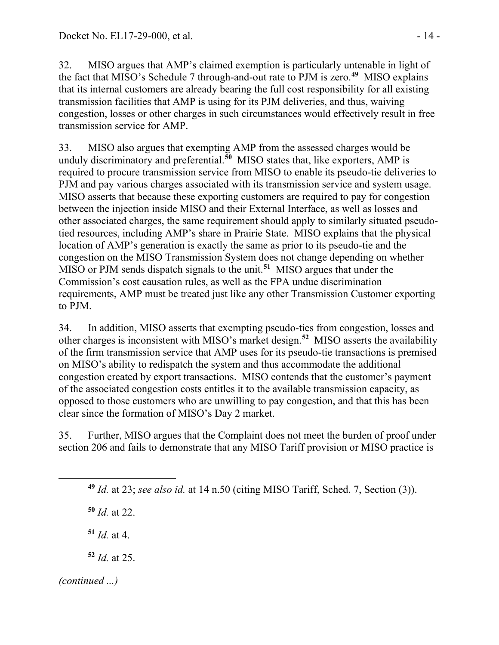32. MISO argues that AMP's claimed exemption is particularly untenable in light of the fact that MISO's Schedule 7 through-and-out rate to PJM is zero.**[49](#page-13-0)** MISO explains that its internal customers are already bearing the full cost responsibility for all existing transmission facilities that AMP is using for its PJM deliveries, and thus, waiving congestion, losses or other charges in such circumstances would effectively result in free transmission service for AMP.

33. MISO also argues that exempting AMP from the assessed charges would be unduly discriminatory and preferential.**[50](#page-13-1)** MISO states that, like exporters, AMP is required to procure transmission service from MISO to enable its pseudo-tie deliveries to PJM and pay various charges associated with its transmission service and system usage. MISO asserts that because these exporting customers are required to pay for congestion between the injection inside MISO and their External Interface, as well as losses and other associated charges, the same requirement should apply to similarly situated pseudotied resources, including AMP's share in Prairie State. MISO explains that the physical location of AMP's generation is exactly the same as prior to its pseudo-tie and the congestion on the MISO Transmission System does not change depending on whether MISO or PJM sends dispatch signals to the unit.**[51](#page-13-2)** MISO argues that under the Commission's cost causation rules, as well as the FPA undue discrimination requirements, AMP must be treated just like any other Transmission Customer exporting to PJM.

34. In addition, MISO asserts that exempting pseudo-ties from congestion, losses and other charges is inconsistent with MISO's market design.**[52](#page-13-3)** MISO asserts the availability of the firm transmission service that AMP uses for its pseudo-tie transactions is premised on MISO's ability to redispatch the system and thus accommodate the additional congestion created by export transactions. MISO contends that the customer's payment of the associated congestion costs entitles it to the available transmission capacity, as opposed to those customers who are unwilling to pay congestion, and that this has been clear since the formation of MISO's Day 2 market.

<span id="page-13-0"></span>35. Further, MISO argues that the Complaint does not meet the burden of proof under section 206 and fails to demonstrate that any MISO Tariff provision or MISO practice is

**<sup>49</sup>** *Id.* at 23; *see also id.* at 14 n.50 (citing MISO Tariff, Sched. 7, Section (3)).

<span id="page-13-1"></span>**<sup>50</sup>** *Id.* at 22.

 $51$  *Id.* at 4.

**<sup>52</sup>** *Id.* at 25.

<span id="page-13-3"></span><span id="page-13-2"></span>*(continued ...)*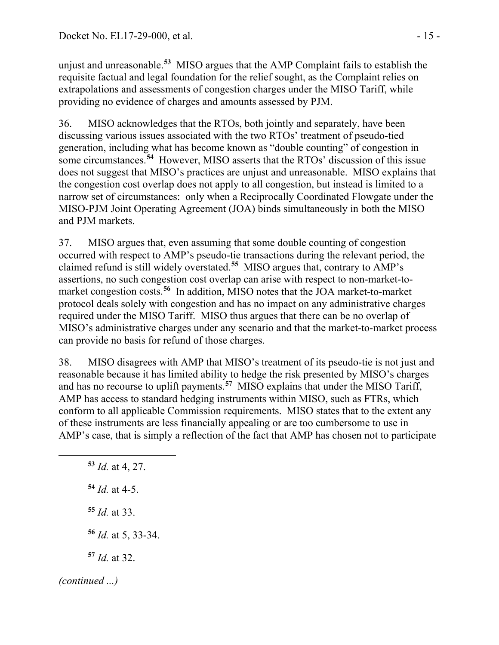unjust and unreasonable.**[53](#page-14-0)** MISO argues that the AMP Complaint fails to establish the requisite factual and legal foundation for the relief sought, as the Complaint relies on extrapolations and assessments of congestion charges under the MISO Tariff, while providing no evidence of charges and amounts assessed by PJM.

36. MISO acknowledges that the RTOs, both jointly and separately, have been discussing various issues associated with the two RTOs' treatment of pseudo-tied generation, including what has become known as "double counting" of congestion in some circumstances.**[54](#page-14-1)** However, MISO asserts that the RTOs' discussion of this issue does not suggest that MISO's practices are unjust and unreasonable. MISO explains that the congestion cost overlap does not apply to all congestion, but instead is limited to a narrow set of circumstances: only when a Reciprocally Coordinated Flowgate under the MISO-PJM Joint Operating Agreement (JOA) binds simultaneously in both the MISO and PJM markets.

37. MISO argues that, even assuming that some double counting of congestion occurred with respect to AMP's pseudo-tie transactions during the relevant period, the claimed refund is still widely overstated.**[55](#page-14-2)** MISO argues that, contrary to AMP's assertions, no such congestion cost overlap can arise with respect to non-market-tomarket congestion costs.**[56](#page-14-3)** In addition, MISO notes that the JOA market-to-market protocol deals solely with congestion and has no impact on any administrative charges required under the MISO Tariff. MISO thus argues that there can be no overlap of MISO's administrative charges under any scenario and that the market-to-market process can provide no basis for refund of those charges.

38. MISO disagrees with AMP that MISO's treatment of its pseudo-tie is not just and reasonable because it has limited ability to hedge the risk presented by MISO's charges and has no recourse to uplift payments.**[57](#page-14-4)** MISO explains that under the MISO Tariff, AMP has access to standard hedging instruments within MISO, such as FTRs, which conform to all applicable Commission requirements. MISO states that to the extent any of these instruments are less financially appealing or are too cumbersome to use in AMP's case, that is simply a reflection of the fact that AMP has chosen not to participate

<span id="page-14-4"></span><span id="page-14-3"></span><span id="page-14-2"></span><span id="page-14-1"></span><span id="page-14-0"></span> *Id.* at 4, 27. *Id.* at 4-5. *Id.* at 33. *Id.* at 5, 33-34. *Id.* at 32. *(continued ...)*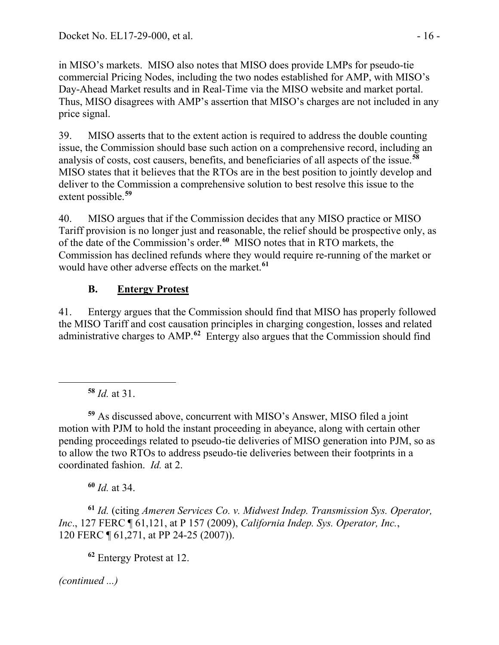in MISO's markets. MISO also notes that MISO does provide LMPs for pseudo-tie commercial Pricing Nodes, including the two nodes established for AMP, with MISO's Day-Ahead Market results and in Real-Time via the MISO website and market portal. Thus, MISO disagrees with AMP's assertion that MISO's charges are not included in any price signal.

39. MISO asserts that to the extent action is required to address the double counting issue, the Commission should base such action on a comprehensive record, including an analysis of costs, cost causers, benefits, and beneficiaries of all aspects of the issue.**[58](#page-15-0)** MISO states that it believes that the RTOs are in the best position to jointly develop and deliver to the Commission a comprehensive solution to best resolve this issue to the extent possible.**[59](#page-15-1)**

40. MISO argues that if the Commission decides that any MISO practice or MISO Tariff provision is no longer just and reasonable, the relief should be prospective only, as of the date of the Commission's order. **[60](#page-15-2)** MISO notes that in RTO markets, the Commission has declined refunds where they would require re-running of the market or would have other adverse effects on the market.**[61](#page-15-3)**

## **B. Entergy Protest**

41. Entergy argues that the Commission should find that MISO has properly followed the MISO Tariff and cost causation principles in charging congestion, losses and related administrative charges to AMP. **[62](#page-15-4)** Entergy also argues that the Commission should find

**<sup>58</sup>** *Id.* at 31.

<span id="page-15-0"></span>

<span id="page-15-1"></span>**<sup>59</sup>** As discussed above, concurrent with MISO's Answer, MISO filed a joint motion with PJM to hold the instant proceeding in abeyance, along with certain other pending proceedings related to pseudo-tie deliveries of MISO generation into PJM, so as to allow the two RTOs to address pseudo-tie deliveries between their footprints in a coordinated fashion. *Id.* at 2.

**<sup>60</sup>** *Id.* at 34.

<span id="page-15-4"></span><span id="page-15-3"></span><span id="page-15-2"></span>**<sup>61</sup>** *Id.* (citing *Ameren Services Co. v. Midwest Indep. Transmission Sys. Operator, Inc*., 127 FERC ¶ 61,121, at P 157 (2009), *California Indep. Sys. Operator, Inc.*, 120 FERC ¶ 61,271, at PP 24-25 (2007)).

**<sup>62</sup>** Entergy Protest at 12.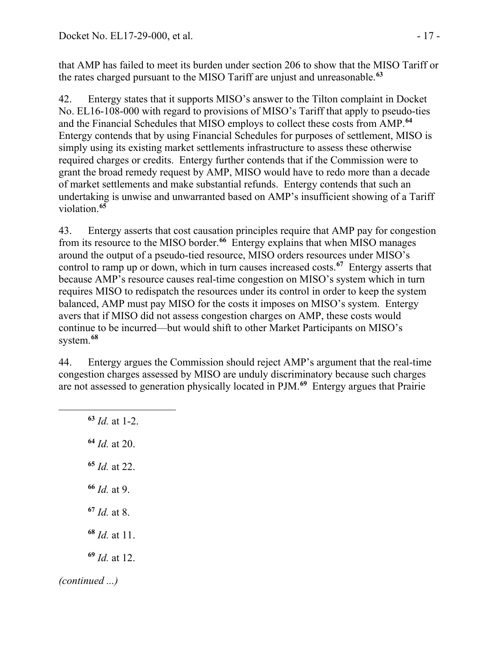that AMP has failed to meet its burden under section 206 to show that the MISO Tariff or the rates charged pursuant to the MISO Tariff are unjust and unreasonable.**[63](#page-16-0)**

42. Entergy states that it supports MISO's answer to the Tilton complaint in Docket No. EL16-108-000 with regard to provisions of MISO's Tariff that apply to pseudo-ties and the Financial Schedules that MISO employs to collect these costs from AMP. **[64](#page-16-1)** Entergy contends that by using Financial Schedules for purposes of settlement, MISO is simply using its existing market settlements infrastructure to assess these otherwise required charges or credits. Entergy further contends that if the Commission were to grant the broad remedy request by AMP, MISO would have to redo more than a decade of market settlements and make substantial refunds. Entergy contends that such an undertaking is unwise and unwarranted based on AMP's insufficient showing of a Tariff violation.**[65](#page-16-2)**

43. Entergy asserts that cost causation principles require that AMP pay for congestion from its resource to the MISO border.**[66](#page-16-3)** Entergy explains that when MISO manages around the output of a pseudo-tied resource, MISO orders resources under MISO's control to ramp up or down, which in turn causes increased costs.**[67](#page-16-4)** Entergy asserts that because AMP's resource causes real-time congestion on MISO's system which in turn requires MISO to redispatch the resources under its control in order to keep the system balanced, AMP must pay MISO for the costs it imposes on MISO's system. Entergy avers that if MISO did not assess congestion charges on AMP, these costs would continue to be incurred—but would shift to other Market Participants on MISO's system.**[68](#page-16-5)**

44. Entergy argues the Commission should reject AMP's argument that the real-time congestion charges assessed by MISO are unduly discriminatory because such charges are not assessed to generation physically located in PJM.**[69](#page-16-6)** Entergy argues that Prairie

<span id="page-16-6"></span><span id="page-16-5"></span><span id="page-16-4"></span><span id="page-16-3"></span><span id="page-16-2"></span><span id="page-16-1"></span><span id="page-16-0"></span> *Id.* at 1-2. *Id.* at 20. *Id.* at 22. *Id.* at 9. *Id.* at 8. *Id.* at 11. *Id.* at 12. *(continued ...)*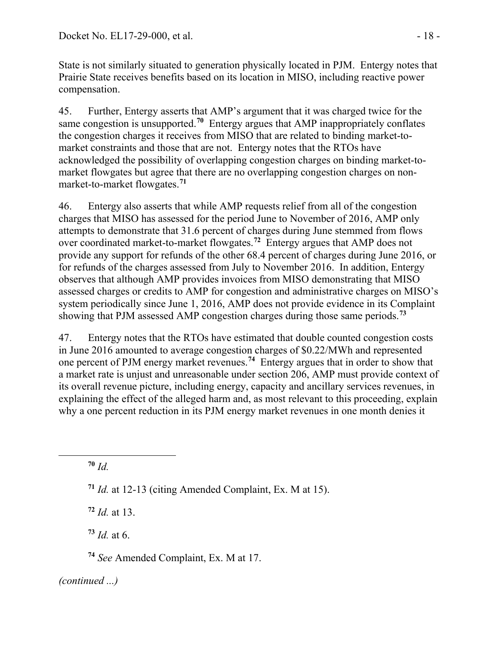State is not similarly situated to generation physically located in PJM. Entergy notes that Prairie State receives benefits based on its location in MISO, including reactive power compensation.

45. Further, Entergy asserts that AMP's argument that it was charged twice for the same congestion is unsupported.**[70](#page-17-0)** Entergy argues that AMP inappropriately conflates the congestion charges it receives from MISO that are related to binding market-tomarket constraints and those that are not. Entergy notes that the RTOs have acknowledged the possibility of overlapping congestion charges on binding market-tomarket flowgates but agree that there are no overlapping congestion charges on nonmarket-to-market flowgates.**[71](#page-17-1)**

46. Entergy also asserts that while AMP requests relief from all of the congestion charges that MISO has assessed for the period June to November of 2016, AMP only attempts to demonstrate that 31.6 percent of charges during June stemmed from flows over coordinated market-to-market flowgates.**[72](#page-17-2)** Entergy argues that AMP does not provide any support for refunds of the other 68.4 percent of charges during June 2016, or for refunds of the charges assessed from July to November 2016. In addition, Entergy observes that although AMP provides invoices from MISO demonstrating that MISO assessed charges or credits to AMP for congestion and administrative charges on MISO's system periodically since June 1, 2016, AMP does not provide evidence in its Complaint showing that PJM assessed AMP congestion charges during those same periods.**[73](#page-17-3)**

47. Entergy notes that the RTOs have estimated that double counted congestion costs in June 2016 amounted to average congestion charges of \$0.22/MWh and represented one percent of PJM energy market revenues.**[74](#page-17-4)** Entergy argues that in order to show that a market rate is unjust and unreasonable under section 206, AMP must provide context of its overall revenue picture, including energy, capacity and ancillary services revenues, in explaining the effect of the alleged harm and, as most relevant to this proceeding, explain why a one percent reduction in its PJM energy market revenues in one month denies it

**<sup>70</sup>** *Id.*

<span id="page-17-2"></span><span id="page-17-1"></span><span id="page-17-0"></span> $\overline{a}$ 

**<sup>71</sup>** *Id.* at 12-13 (citing Amended Complaint, Ex. M at 15).

**<sup>72</sup>** *Id.* at 13.

<span id="page-17-3"></span>**<sup>73</sup>** *Id.* at 6.

<span id="page-17-4"></span>**<sup>74</sup>** *See* Amended Complaint, Ex. M at 17.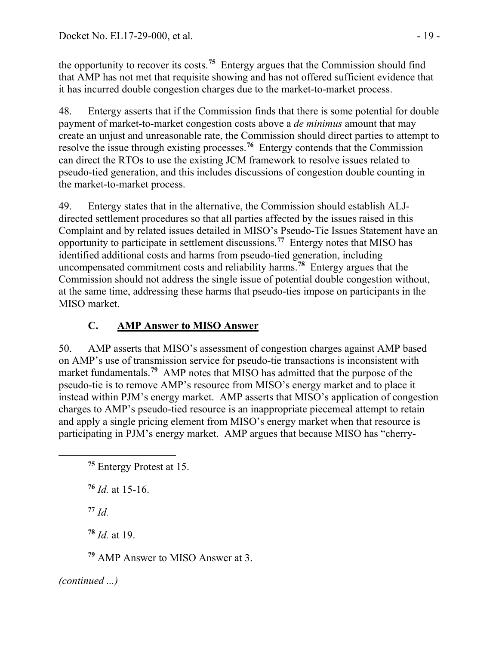the opportunity to recover its costs.**[75](#page-18-0)** Entergy argues that the Commission should find that AMP has not met that requisite showing and has not offered sufficient evidence that it has incurred double congestion charges due to the market-to-market process.

48. Entergy asserts that if the Commission finds that there is some potential for double payment of market-to-market congestion costs above a *de minimus* amount that may create an unjust and unreasonable rate, the Commission should direct parties to attempt to resolve the issue through existing processes.**[76](#page-18-1)** Entergy contends that the Commission can direct the RTOs to use the existing JCM framework to resolve issues related to pseudo-tied generation, and this includes discussions of congestion double counting in the market-to-market process.

49. Entergy states that in the alternative, the Commission should establish ALJdirected settlement procedures so that all parties affected by the issues raised in this Complaint and by related issues detailed in MISO's Pseudo-Tie Issues Statement have an opportunity to participate in settlement discussions.**[77](#page-18-2)** Entergy notes that MISO has identified additional costs and harms from pseudo-tied generation, including uncompensated commitment costs and reliability harms.**[78](#page-18-3)** Entergy argues that the Commission should not address the single issue of potential double congestion without, at the same time, addressing these harms that pseudo-ties impose on participants in the MISO market.

# **C. AMP Answer to MISO Answer**

50. AMP asserts that MISO's assessment of congestion charges against AMP based on AMP's use of transmission service for pseudo-tie transactions is inconsistent with market fundamentals.<sup>[79](#page-18-4)</sup> AMP notes that MISO has admitted that the purpose of the pseudo-tie is to remove AMP's resource from MISO's energy market and to place it instead within PJM's energy market. AMP asserts that MISO's application of congestion charges to AMP's pseudo-tied resource is an inappropriate piecemeal attempt to retain and apply a single pricing element from MISO's energy market when that resource is participating in PJM's energy market. AMP argues that because MISO has "cherry-

**<sup>77</sup>** *Id.*

<span id="page-18-2"></span><span id="page-18-1"></span><span id="page-18-0"></span> $\overline{a}$ 

<span id="page-18-3"></span>**<sup>78</sup>** *Id.* at 19.

<span id="page-18-4"></span>**<sup>79</sup>** AMP Answer to MISO Answer at 3.

**<sup>75</sup>** Entergy Protest at 15.

**<sup>76</sup>** *Id.* at 15-16.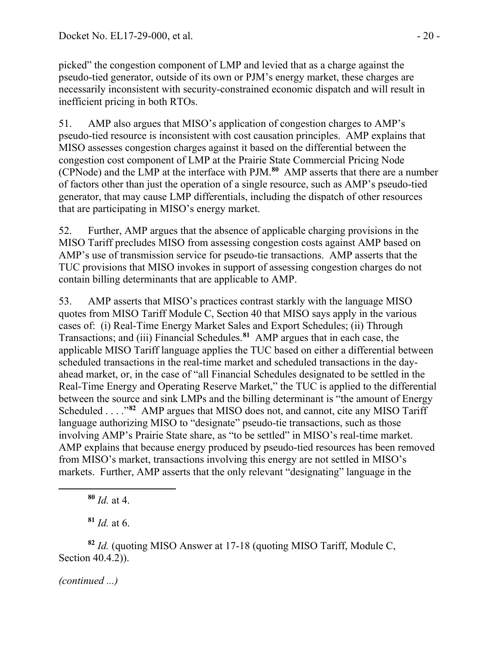picked" the congestion component of LMP and levied that as a charge against the pseudo-tied generator, outside of its own or PJM's energy market, these charges are necessarily inconsistent with security-constrained economic dispatch and will result in inefficient pricing in both RTOs.

51. AMP also argues that MISO's application of congestion charges to AMP's pseudo-tied resource is inconsistent with cost causation principles. AMP explains that MISO assesses congestion charges against it based on the differential between the congestion cost component of LMP at the Prairie State Commercial Pricing Node (CPNode) and the LMP at the interface with PJM.**[80](#page-19-0)** AMP asserts that there are a number of factors other than just the operation of a single resource, such as AMP's pseudo-tied generator, that may cause LMP differentials, including the dispatch of other resources that are participating in MISO's energy market.

52. Further, AMP argues that the absence of applicable charging provisions in the MISO Tariff precludes MISO from assessing congestion costs against AMP based on AMP's use of transmission service for pseudo-tie transactions. AMP asserts that the TUC provisions that MISO invokes in support of assessing congestion charges do not contain billing determinants that are applicable to AMP.

53. AMP asserts that MISO's practices contrast starkly with the language MISO quotes from MISO Tariff Module C, Section 40 that MISO says apply in the various cases of: (i) Real-Time Energy Market Sales and Export Schedules; (ii) Through Transactions; and (iii) Financial Schedules.**[81](#page-19-1)** AMP argues that in each case, the applicable MISO Tariff language applies the TUC based on either a differential between scheduled transactions in the real-time market and scheduled transactions in the dayahead market, or, in the case of "all Financial Schedules designated to be settled in the Real-Time Energy and Operating Reserve Market," the TUC is applied to the differential between the source and sink LMPs and the billing determinant is "the amount of Energy Scheduled . . . ."**[82](#page-19-2)** AMP argues that MISO does not, and cannot, cite any MISO Tariff language authorizing MISO to "designate" pseudo-tie transactions, such as those involving AMP's Prairie State share, as "to be settled" in MISO's real-time market. AMP explains that because energy produced by pseudo-tied resources has been removed from MISO's market, transactions involving this energy are not settled in MISO's markets. Further, AMP asserts that the only relevant "designating" language in the

**<sup>81</sup>** *Id.* at 6.

<span id="page-19-2"></span><span id="page-19-1"></span><span id="page-19-0"></span>**<sup>82</sup>** *Id.* (quoting MISO Answer at 17-18 (quoting MISO Tariff, Module C, Section 40.4.2)).

*(continued ...)*

**<sup>80</sup>** *Id.* at 4.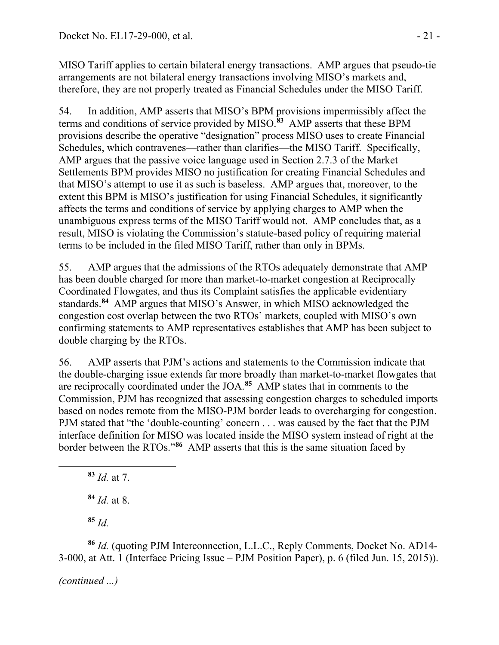MISO Tariff applies to certain bilateral energy transactions. AMP argues that pseudo-tie arrangements are not bilateral energy transactions involving MISO's markets and, therefore, they are not properly treated as Financial Schedules under the MISO Tariff.

54. In addition, AMP asserts that MISO's BPM provisions impermissibly affect the terms and conditions of service provided by MISO.**[83](#page-20-0)** AMP asserts that these BPM provisions describe the operative "designation" process MISO uses to create Financial Schedules, which contravenes—rather than clarifies—the MISO Tariff. Specifically, AMP argues that the passive voice language used in Section 2.7.3 of the Market Settlements BPM provides MISO no justification for creating Financial Schedules and that MISO's attempt to use it as such is baseless. AMP argues that, moreover, to the extent this BPM is MISO's justification for using Financial Schedules, it significantly affects the terms and conditions of service by applying charges to AMP when the unambiguous express terms of the MISO Tariff would not. AMP concludes that, as a result, MISO is violating the Commission's statute-based policy of requiring material terms to be included in the filed MISO Tariff, rather than only in BPMs.

55. AMP argues that the admissions of the RTOs adequately demonstrate that AMP has been double charged for more than market-to-market congestion at Reciprocally Coordinated Flowgates, and thus its Complaint satisfies the applicable evidentiary standards.**[84](#page-20-1)** AMP argues that MISO's Answer, in which MISO acknowledged the congestion cost overlap between the two RTOs' markets, coupled with MISO's own confirming statements to AMP representatives establishes that AMP has been subject to double charging by the RTOs.

56. AMP asserts that PJM's actions and statements to the Commission indicate that the double-charging issue extends far more broadly than market-to-market flowgates that are reciprocally coordinated under the JOA.**[85](#page-20-2)** AMP states that in comments to the Commission, PJM has recognized that assessing congestion charges to scheduled imports based on nodes remote from the MISO-PJM border leads to overcharging for congestion. PJM stated that "the 'double-counting' concern . . . was caused by the fact that the PJM interface definition for MISO was located inside the MISO system instead of right at the border between the RTOs."**[86](#page-20-3)** AMP asserts that this is the same situation faced by

**<sup>83</sup>** *Id.* at 7.

**<sup>84</sup>** *Id.* at 8.

**<sup>85</sup>** *Id.*

<span id="page-20-1"></span><span id="page-20-0"></span> $\overline{a}$ 

<span id="page-20-3"></span><span id="page-20-2"></span>**<sup>86</sup>** *Id.* (quoting PJM Interconnection, L.L.C., Reply Comments, Docket No. AD14- 3-000, at Att. 1 (Interface Pricing Issue – PJM Position Paper), p. 6 (filed Jun. 15, 2015)).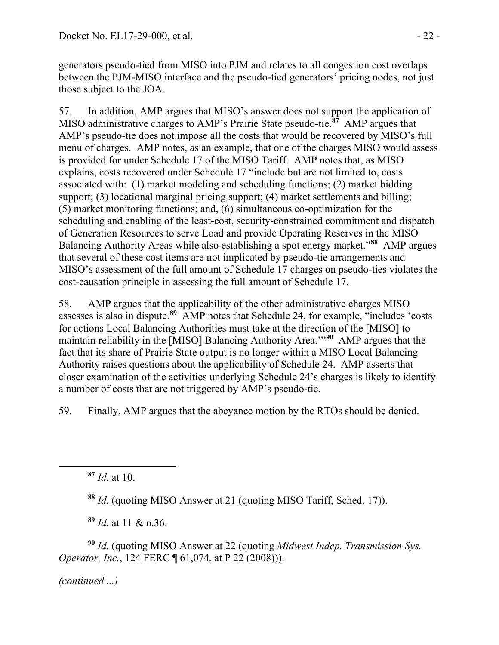generators pseudo-tied from MISO into PJM and relates to all congestion cost overlaps between the PJM-MISO interface and the pseudo-tied generators' pricing nodes, not just those subject to the JOA.

57. In addition, AMP argues that MISO's answer does not support the application of MISO administrative charges to AMP's Prairie State pseudo-tie.**[87](#page-21-0)** AMP argues that AMP's pseudo-tie does not impose all the costs that would be recovered by MISO's full menu of charges. AMP notes, as an example, that one of the charges MISO would assess is provided for under Schedule 17 of the MISO Tariff. AMP notes that, as MISO explains, costs recovered under Schedule 17 "include but are not limited to, costs associated with: (1) market modeling and scheduling functions; (2) market bidding support; (3) locational marginal pricing support; (4) market settlements and billing; (5) market monitoring functions; and, (6) simultaneous co-optimization for the scheduling and enabling of the least-cost, security-constrained commitment and dispatch of Generation Resources to serve Load and provide Operating Reserves in the MISO Balancing Authority Areas while also establishing a spot energy market."**[88](#page-21-1)** AMP argues that several of these cost items are not implicated by pseudo-tie arrangements and MISO's assessment of the full amount of Schedule 17 charges on pseudo-ties violates the cost-causation principle in assessing the full amount of Schedule 17.

58. AMP argues that the applicability of the other administrative charges MISO assesses is also in dispute.**[89](#page-21-2)** AMP notes that Schedule 24, for example, "includes 'costs for actions Local Balancing Authorities must take at the direction of the [MISO] to maintain reliability in the [MISO] Balancing Authority Area.'"**[90](#page-21-3)** AMP argues that the fact that its share of Prairie State output is no longer within a MISO Local Balancing Authority raises questions about the applicability of Schedule 24. AMP asserts that closer examination of the activities underlying Schedule 24's charges is likely to identify a number of costs that are not triggered by AMP's pseudo-tie.

59. Finally, AMP argues that the abeyance motion by the RTOs should be denied.

**<sup>88</sup>** *Id.* (quoting MISO Answer at 21 (quoting MISO Tariff, Sched. 17)).

**<sup>89</sup>** *Id.* at 11 & n.36.

<span id="page-21-3"></span><span id="page-21-2"></span><span id="page-21-1"></span>**<sup>90</sup>** *Id.* (quoting MISO Answer at 22 (quoting *Midwest Indep. Transmission Sys. Operator, Inc.*, 124 FERC ¶ 61,074, at P 22 (2008))).

*(continued ...)*

<span id="page-21-0"></span>**<sup>87</sup>** *Id.* at 10.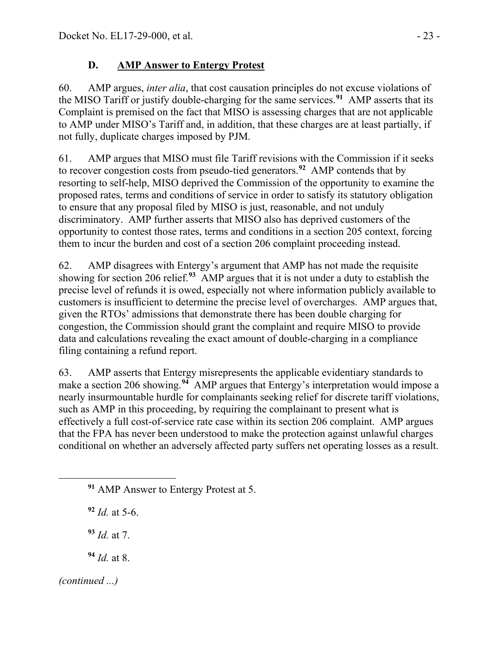## **D. AMP Answer to Entergy Protest**

60. AMP argues, *inter alia*, that cost causation principles do not excuse violations of the MISO Tariff or justify double-charging for the same services.**[91](#page-22-0)** AMP asserts that its Complaint is premised on the fact that MISO is assessing charges that are not applicable to AMP under MISO's Tariff and, in addition, that these charges are at least partially, if not fully, duplicate charges imposed by PJM.

61. AMP argues that MISO must file Tariff revisions with the Commission if it seeks to recover congestion costs from pseudo-tied generators.**[92](#page-22-1)** AMP contends that by resorting to self-help, MISO deprived the Commission of the opportunity to examine the proposed rates, terms and conditions of service in order to satisfy its statutory obligation to ensure that any proposal filed by MISO is just, reasonable, and not unduly discriminatory. AMP further asserts that MISO also has deprived customers of the opportunity to contest those rates, terms and conditions in a section 205 context, forcing them to incur the burden and cost of a section 206 complaint proceeding instead.

62. AMP disagrees with Entergy's argument that AMP has not made the requisite showing for section 206 relief.**[93](#page-22-2)** AMP argues that it is not under a duty to establish the precise level of refunds it is owed, especially not where information publicly available to customers is insufficient to determine the precise level of overcharges. AMP argues that, given the RTOs' admissions that demonstrate there has been double charging for congestion, the Commission should grant the complaint and require MISO to provide data and calculations revealing the exact amount of double-charging in a compliance filing containing a refund report.

63. AMP asserts that Entergy misrepresents the applicable evidentiary standards to make a section 206 showing.<sup>[94](#page-22-3)</sup> AMP argues that Entergy's interpretation would impose a nearly insurmountable hurdle for complainants seeking relief for discrete tariff violations, such as AMP in this proceeding, by requiring the complainant to present what is effectively a full cost-of-service rate case within its section 206 complaint. AMP argues that the FPA has never been understood to make the protection against unlawful charges conditional on whether an adversely affected party suffers net operating losses as a result.

<span id="page-22-0"></span>**<sup>91</sup>** AMP Answer to Entergy Protest at 5.

<span id="page-22-1"></span>**<sup>92</sup>** *Id.* at 5-6.

**<sup>93</sup>** *Id.* at 7.

**<sup>94</sup>** *Id.* at 8.

<span id="page-22-3"></span><span id="page-22-2"></span>*(continued ...)*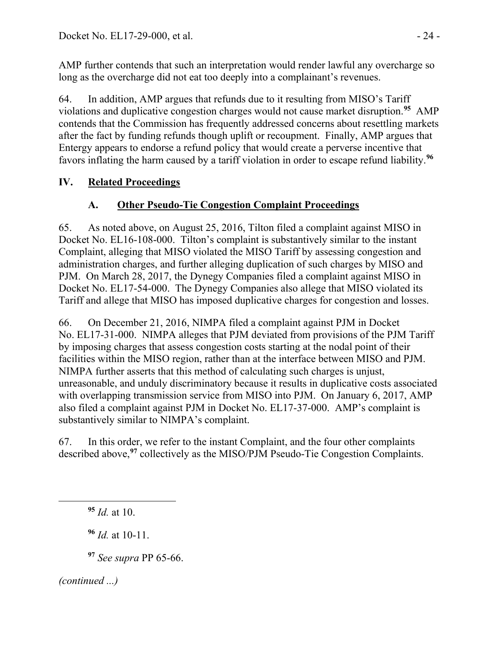AMP further contends that such an interpretation would render lawful any overcharge so long as the overcharge did not eat too deeply into a complainant's revenues.

64. In addition, AMP argues that refunds due to it resulting from MISO's Tariff violations and duplicative congestion charges would not cause market disruption.**[95](#page-23-0)** AMP contends that the Commission has frequently addressed concerns about resettling markets after the fact by funding refunds though uplift or recoupment. Finally, AMP argues that Entergy appears to endorse a refund policy that would create a perverse incentive that favors inflating the harm caused by a tariff violation in order to escape refund liability.**[96](#page-23-1)**

# **IV. Related Proceedings**

# **A. Other Pseudo-Tie Congestion Complaint Proceedings**

65. As noted above, on August 25, 2016, Tilton filed a complaint against MISO in Docket No. EL16-108-000. Tilton's complaint is substantively similar to the instant Complaint, alleging that MISO violated the MISO Tariff by assessing congestion and administration charges, and further alleging duplication of such charges by MISO and PJM. On March 28, 2017, the Dynegy Companies filed a complaint against MISO in Docket No. EL17-54-000. The Dynegy Companies also allege that MISO violated its Tariff and allege that MISO has imposed duplicative charges for congestion and losses.

66. On December 21, 2016, NIMPA filed a complaint against PJM in Docket No. EL17-31-000. NIMPA alleges that PJM deviated from provisions of the PJM Tariff by imposing charges that assess congestion costs starting at the nodal point of their facilities within the MISO region, rather than at the interface between MISO and PJM. NIMPA further asserts that this method of calculating such charges is unjust, unreasonable, and unduly discriminatory because it results in duplicative costs associated with overlapping transmission service from MISO into PJM. On January 6, 2017, AMP also filed a complaint against PJM in Docket No. EL17-37-000. AMP's complaint is substantively similar to NIMPA's complaint.

67. In this order, we refer to the instant Complaint, and the four other complaints described above,**[97](#page-23-2)** collectively as the MISO/PJM Pseudo-Tie Congestion Complaints.

<span id="page-23-0"></span>**<sup>95</sup>** *Id.* at 10.

**<sup>96</sup>** *Id.* at 10-11.

**<sup>97</sup>** *See supra* PP 65-66.

<span id="page-23-2"></span><span id="page-23-1"></span>*(continued ...)*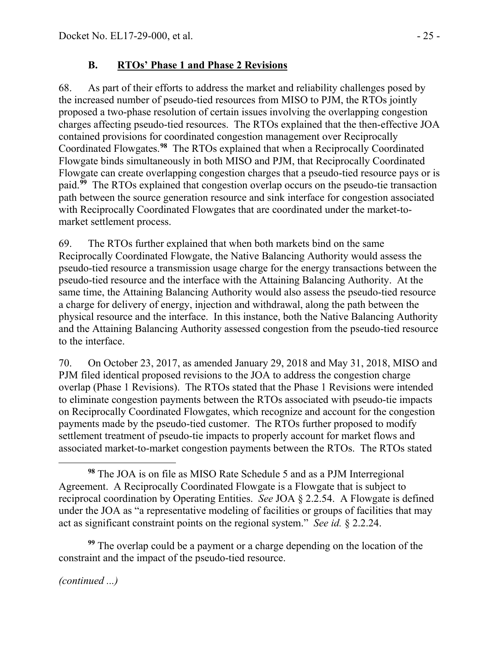## **B. RTOs' Phase 1 and Phase 2 Revisions**

68. As part of their efforts to address the market and reliability challenges posed by the increased number of pseudo-tied resources from MISO to PJM, the RTOs jointly proposed a two-phase resolution of certain issues involving the overlapping congestion charges affecting pseudo-tied resources. The RTOs explained that the then-effective JOA contained provisions for coordinated congestion management over Reciprocally Coordinated Flowgates.**[98](#page-24-0)** The RTOs explained that when a Reciprocally Coordinated Flowgate binds simultaneously in both MISO and PJM, that Reciprocally Coordinated Flowgate can create overlapping congestion charges that a pseudo-tied resource pays or is paid.**[99](#page-24-1)** The RTOs explained that congestion overlap occurs on the pseudo-tie transaction path between the source generation resource and sink interface for congestion associated with Reciprocally Coordinated Flowgates that are coordinated under the market-tomarket settlement process.

69. The RTOs further explained that when both markets bind on the same Reciprocally Coordinated Flowgate, the Native Balancing Authority would assess the pseudo-tied resource a transmission usage charge for the energy transactions between the pseudo-tied resource and the interface with the Attaining Balancing Authority. At the same time, the Attaining Balancing Authority would also assess the pseudo-tied resource a charge for delivery of energy, injection and withdrawal, along the path between the physical resource and the interface. In this instance, both the Native Balancing Authority and the Attaining Balancing Authority assessed congestion from the pseudo-tied resource to the interface.

70. On October 23, 2017, as amended January 29, 2018 and May 31, 2018, MISO and PJM filed identical proposed revisions to the JOA to address the congestion charge overlap (Phase 1 Revisions). The RTOs stated that the Phase 1 Revisions were intended to eliminate congestion payments between the RTOs associated with pseudo-tie impacts on Reciprocally Coordinated Flowgates, which recognize and account for the congestion payments made by the pseudo-tied customer. The RTOs further proposed to modify settlement treatment of pseudo-tie impacts to properly account for market flows and associated market-to-market congestion payments between the RTOs. The RTOs stated

<span id="page-24-1"></span>**<sup>99</sup>** The overlap could be a payment or a charge depending on the location of the constraint and the impact of the pseudo-tied resource.

<span id="page-24-0"></span> $\overline{a}$ **<sup>98</sup>** The JOA is on file as MISO Rate Schedule 5 and as a PJM Interregional Agreement. A Reciprocally Coordinated Flowgate is a Flowgate that is subject to reciprocal coordination by Operating Entities. *See* JOA § 2.2.54. A Flowgate is defined under the JOA as "a representative modeling of facilities or groups of facilities that may act as significant constraint points on the regional system." *See id.* § 2.2.24.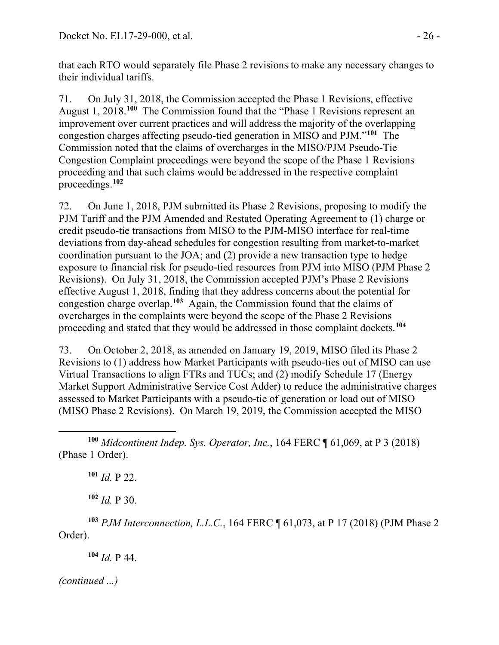that each RTO would separately file Phase 2 revisions to make any necessary changes to their individual tariffs.

71. On July 31, 2018, the Commission accepted the Phase 1 Revisions, effective August 1, 2018.**[100](#page-25-0)** The Commission found that the "Phase 1 Revisions represent an improvement over current practices and will address the majority of the overlapping congestion charges affecting pseudo-tied generation in MISO and PJM."**[101](#page-25-1)** The Commission noted that the claims of overcharges in the MISO/PJM Pseudo-Tie Congestion Complaint proceedings were beyond the scope of the Phase 1 Revisions proceeding and that such claims would be addressed in the respective complaint proceedings.**[102](#page-25-2)**

72. On June 1, 2018, PJM submitted its Phase 2 Revisions, proposing to modify the PJM Tariff and the PJM Amended and Restated Operating Agreement to (1) charge or credit pseudo-tie transactions from MISO to the PJM-MISO interface for real-time deviations from day-ahead schedules for congestion resulting from market-to-market coordination pursuant to the JOA; and (2) provide a new transaction type to hedge exposure to financial risk for pseudo-tied resources from PJM into MISO (PJM Phase 2 Revisions). On July 31, 2018, the Commission accepted PJM's Phase 2 Revisions effective August 1, 2018, finding that they address concerns about the potential for congestion charge overlap.**[103](#page-25-3)** Again, the Commission found that the claims of overcharges in the complaints were beyond the scope of the Phase 2 Revisions proceeding and stated that they would be addressed in those complaint dockets.**[104](#page-25-4)**

73. On October 2, 2018, as amended on January 19, 2019, MISO filed its Phase 2 Revisions to (1) address how Market Participants with pseudo-ties out of MISO can use Virtual Transactions to align FTRs and TUCs; and (2) modify Schedule 17 (Energy Market Support Administrative Service Cost Adder) to reduce the administrative charges assessed to Market Participants with a pseudo-tie of generation or load out of MISO (MISO Phase 2 Revisions). On March 19, 2019, the Commission accepted the MISO

**<sup>101</sup>** *Id.* P 22.

**<sup>102</sup>** *Id.* P 30.

<span id="page-25-4"></span><span id="page-25-3"></span><span id="page-25-2"></span>**<sup>103</sup>** *PJM Interconnection, L.L.C.*, 164 FERC ¶ 61,073, at P 17 (2018) (PJM Phase 2 Order).

**<sup>104</sup>** *Id.* P 44.

<span id="page-25-1"></span><span id="page-25-0"></span> $\overline{a}$ **<sup>100</sup>** *Midcontinent Indep. Sys. Operator, Inc.*, 164 FERC ¶ 61,069, at P 3 (2018) (Phase 1 Order).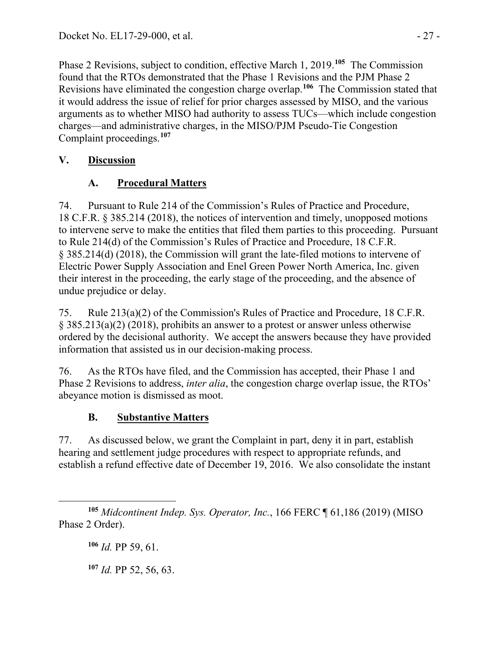Phase 2 Revisions, subject to condition, effective March 1, 2019.**[105](#page-26-0)** The Commission found that the RTOs demonstrated that the Phase 1 Revisions and the PJM Phase 2 Revisions have eliminated the congestion charge overlap.**[106](#page-26-1)** The Commission stated that it would address the issue of relief for prior charges assessed by MISO, and the various arguments as to whether MISO had authority to assess TUCs—which include congestion charges—and administrative charges, in the MISO/PJM Pseudo-Tie Congestion Complaint proceedings.**[107](#page-26-2)**

# **V. Discussion**

# **A. Procedural Matters**

74. Pursuant to Rule 214 of the Commission's Rules of Practice and Procedure, 18 C.F.R. § 385.214 (2018), the notices of intervention and timely, unopposed motions to intervene serve to make the entities that filed them parties to this proceeding. Pursuant to Rule 214(d) of the Commission's Rules of Practice and Procedure, 18 C.F.R. § 385.214(d) (2018), the Commission will grant the late-filed motions to intervene of Electric Power Supply Association and Enel Green Power North America, Inc. given their interest in the proceeding, the early stage of the proceeding, and the absence of undue prejudice or delay.

75. Rule 213(a)(2) of the Commission's Rules of Practice and Procedure, 18 C.F.R. § 385.213(a)(2) (2018), prohibits an answer to a protest or answer unless otherwise ordered by the decisional authority. We accept the answers because they have provided information that assisted us in our decision-making process.

76. As the RTOs have filed, and the Commission has accepted, their Phase 1 and Phase 2 Revisions to address, *inter alia*, the congestion charge overlap issue, the RTOs' abeyance motion is dismissed as moot.

# **B. Substantive Matters**

77. As discussed below, we grant the Complaint in part, deny it in part, establish hearing and settlement judge procedures with respect to appropriate refunds, and establish a refund effective date of December 19, 2016. We also consolidate the instant

**<sup>106</sup>** *Id.* PP 59, 61.

<span id="page-26-2"></span>**<sup>107</sup>** *Id.* PP 52, 56, 63.

<span id="page-26-1"></span><span id="page-26-0"></span> $\overline{a}$ **<sup>105</sup>** *Midcontinent Indep. Sys. Operator, Inc.*, 166 FERC ¶ 61,186 (2019) (MISO Phase 2 Order).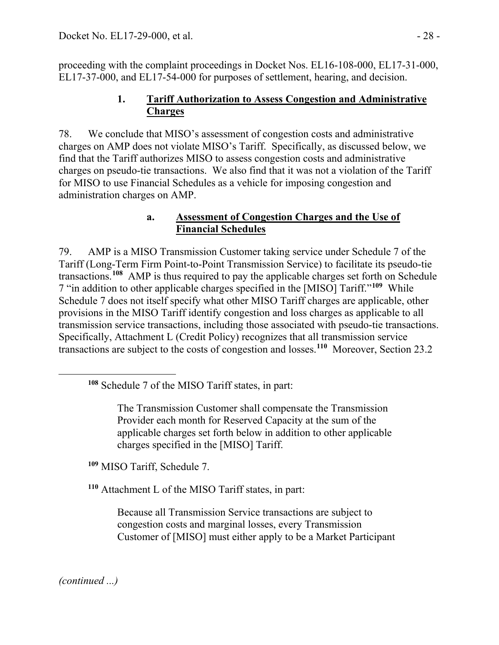proceeding with the complaint proceedings in Docket Nos. EL16-108-000, EL17-31-000, EL17-37-000, and EL17-54-000 for purposes of settlement, hearing, and decision.

### **1. Tariff Authorization to Assess Congestion and Administrative Charges**

78. We conclude that MISO's assessment of congestion costs and administrative charges on AMP does not violate MISO's Tariff. Specifically, as discussed below, we find that the Tariff authorizes MISO to assess congestion costs and administrative charges on pseudo-tie transactions. We also find that it was not a violation of the Tariff for MISO to use Financial Schedules as a vehicle for imposing congestion and administration charges on AMP.

### **a. Assessment of Congestion Charges and the Use of Financial Schedules**

79. AMP is a MISO Transmission Customer taking service under Schedule 7 of the Tariff (Long-Term Firm Point-to-Point Transmission Service) to facilitate its pseudo-tie transactions. **[108](#page-27-0)** AMP is thus required to pay the applicable charges set forth on Schedule 7 "in addition to other applicable charges specified in the [MISO] Tariff."**[109](#page-27-1)** While Schedule 7 does not itself specify what other MISO Tariff charges are applicable, other provisions in the MISO Tariff identify congestion and loss charges as applicable to all transmission service transactions, including those associated with pseudo-tie transactions. Specifically, Attachment L (Credit Policy) recognizes that all transmission service transactions are subject to the costs of congestion and losses.**[110](#page-27-2)** Moreover, Section 23.2

The Transmission Customer shall compensate the Transmission Provider each month for Reserved Capacity at the sum of the applicable charges set forth below in addition to other applicable charges specified in the [MISO] Tariff.

<span id="page-27-1"></span>**<sup>109</sup>** MISO Tariff, Schedule 7.

<span id="page-27-2"></span>**<sup>110</sup>** Attachment L of the MISO Tariff states, in part:

Because all Transmission Service transactions are subject to congestion costs and marginal losses, every Transmission Customer of [MISO] must either apply to be a Market Participant

*(continued ...)*

<span id="page-27-0"></span>**<sup>108</sup>** Schedule 7 of the MISO Tariff states, in part: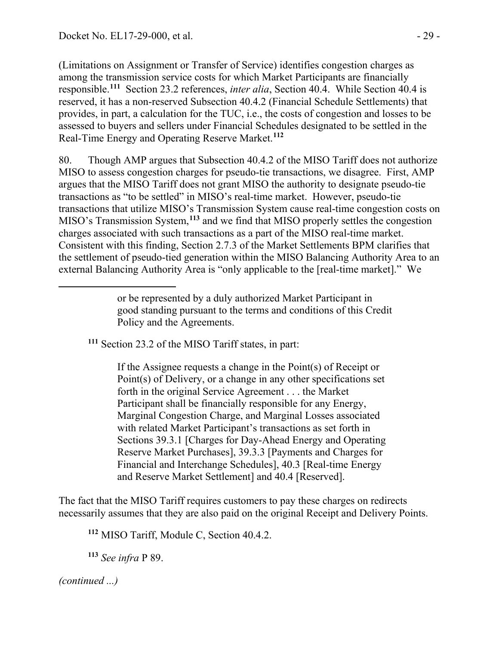(Limitations on Assignment or Transfer of Service) identifies congestion charges as among the transmission service costs for which Market Participants are financially responsible. **[111](#page-28-0)** Section 23.2 references, *inter alia*, Section 40.4. While Section 40.4 is reserved, it has a non-reserved Subsection 40.4.2 (Financial Schedule Settlements) that provides, in part, a calculation for the TUC, i.e., the costs of congestion and losses to be assessed to buyers and sellers under Financial Schedules designated to be settled in the Real-Time Energy and Operating Reserve Market. **[112](#page-28-1)**

80. Though AMP argues that Subsection 40.4.2 of the MISO Tariff does not authorize MISO to assess congestion charges for pseudo-tie transactions, we disagree. First, AMP argues that the MISO Tariff does not grant MISO the authority to designate pseudo-tie transactions as "to be settled" in MISO's real-time market. However, pseudo-tie transactions that utilize MISO's Transmission System cause real-time congestion costs on MISO's Transmission System, **[113](#page-28-2)** and we find that MISO properly settles the congestion charges associated with such transactions as a part of the MISO real-time market. Consistent with this finding, Section 2.7.3 of the Market Settlements BPM clarifies that the settlement of pseudo-tied generation within the MISO Balancing Authority Area to an external Balancing Authority Area is "only applicable to the [real-time market]." We

<span id="page-28-0"></span>**<sup>111</sup>** Section 23.2 of the MISO Tariff states, in part:

If the Assignee requests a change in the Point(s) of Receipt or Point(s) of Delivery, or a change in any other specifications set forth in the original Service Agreement . . . the Market Participant shall be financially responsible for any Energy, Marginal Congestion Charge, and Marginal Losses associated with related Market Participant's transactions as set forth in Sections 39.3.1 [Charges for Day-Ahead Energy and Operating Reserve Market Purchases], 39.3.3 [Payments and Charges for Financial and Interchange Schedules], 40.3 [Real-time Energy and Reserve Market Settlement] and 40.4 [Reserved].

<span id="page-28-1"></span>The fact that the MISO Tariff requires customers to pay these charges on redirects necessarily assumes that they are also paid on the original Receipt and Delivery Points.

**<sup>112</sup>** MISO Tariff, Module C, Section 40.4.2.

**<sup>113</sup>** *See infra* P 89.

<span id="page-28-2"></span>*(continued ...)*

or be represented by a duly authorized Market Participant in good standing pursuant to the terms and conditions of this Credit Policy and the Agreements.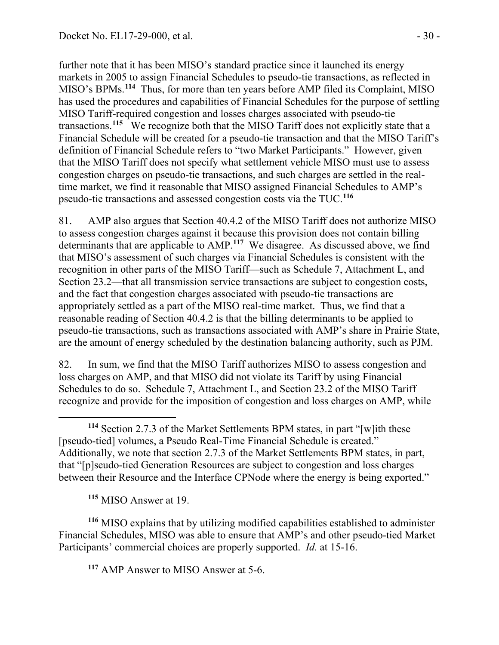further note that it has been MISO's standard practice since it launched its energy markets in 2005 to assign Financial Schedules to pseudo-tie transactions, as reflected in MISO's BPMs.**[114](#page-29-0)** Thus, for more than ten years before AMP filed its Complaint, MISO has used the procedures and capabilities of Financial Schedules for the purpose of settling MISO Tariff-required congestion and losses charges associated with pseudo-tie transactions. **[115](#page-29-1)** We recognize both that the MISO Tariff does not explicitly state that a Financial Schedule will be created for a pseudo-tie transaction and that the MISO Tariff's definition of Financial Schedule refers to "two Market Participants." However, given that the MISO Tariff does not specify what settlement vehicle MISO must use to assess congestion charges on pseudo-tie transactions, and such charges are settled in the realtime market, we find it reasonable that MISO assigned Financial Schedules to AMP's pseudo-tie transactions and assessed congestion costs via the TUC. **[116](#page-29-2)**

81. AMP also argues that Section 40.4.2 of the MISO Tariff does not authorize MISO to assess congestion charges against it because this provision does not contain billing determinants that are applicable to AMP. **[117](#page-29-3)** We disagree. As discussed above, we find that MISO's assessment of such charges via Financial Schedules is consistent with the recognition in other parts of the MISO Tariff—such as Schedule 7, Attachment L, and Section 23.2—that all transmission service transactions are subject to congestion costs, and the fact that congestion charges associated with pseudo-tie transactions are appropriately settled as a part of the MISO real-time market. Thus, we find that a reasonable reading of Section 40.4.2 is that the billing determinants to be applied to pseudo-tie transactions, such as transactions associated with AMP's share in Prairie State, are the amount of energy scheduled by the destination balancing authority, such as PJM.

82. In sum, we find that the MISO Tariff authorizes MISO to assess congestion and loss charges on AMP, and that MISO did not violate its Tariff by using Financial Schedules to do so. Schedule 7, Attachment L, and Section 23.2 of the MISO Tariff recognize and provide for the imposition of congestion and loss charges on AMP, while

**<sup>115</sup>** MISO Answer at 19.

<span id="page-29-3"></span><span id="page-29-2"></span><span id="page-29-1"></span>**<sup>116</sup>** MISO explains that by utilizing modified capabilities established to administer Financial Schedules, MISO was able to ensure that AMP's and other pseudo-tied Market Participants' commercial choices are properly supported. *Id.* at 15-16.

**<sup>117</sup>** AMP Answer to MISO Answer at 5-6.

<span id="page-29-0"></span> $\overline{a}$ **<sup>114</sup>** Section 2.7.3 of the Market Settlements BPM states, in part "[w]ith these [pseudo-tied] volumes, a Pseudo Real-Time Financial Schedule is created." Additionally, we note that section 2.7.3 of the Market Settlements BPM states, in part, that "[p]seudo-tied Generation Resources are subject to congestion and loss charges between their Resource and the Interface CPNode where the energy is being exported."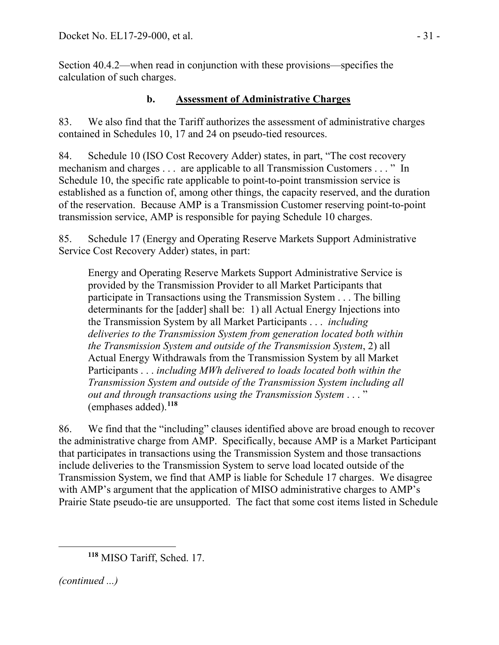Section 40.4.2—when read in conjunction with these provisions—specifies the calculation of such charges.

### **b. Assessment of Administrative Charges**

83. We also find that the Tariff authorizes the assessment of administrative charges contained in Schedules 10, 17 and 24 on pseudo-tied resources.

84. Schedule 10 (ISO Cost Recovery Adder) states, in part, "The cost recovery mechanism and charges . . . are applicable to all Transmission Customers . . . " In Schedule 10, the specific rate applicable to point-to-point transmission service is established as a function of, among other things, the capacity reserved, and the duration of the reservation. Because AMP is a Transmission Customer reserving point-to-point transmission service, AMP is responsible for paying Schedule 10 charges.

85. Schedule 17 (Energy and Operating Reserve Markets Support Administrative Service Cost Recovery Adder) states, in part:

Energy and Operating Reserve Markets Support Administrative Service is provided by the Transmission Provider to all Market Participants that participate in Transactions using the Transmission System . . . The billing determinants for the [adder] shall be: 1) all Actual Energy Injections into the Transmission System by all Market Participants . . . *including deliveries to the Transmission System from generation located both within the Transmission System and outside of the Transmission System*, 2) all Actual Energy Withdrawals from the Transmission System by all Market Participants . . . *including MWh delivered to loads located both within the Transmission System and outside of the Transmission System including all out and through transactions using the Transmission System* . . . " (emphases added).**[118](#page-30-0)**

86. We find that the "including" clauses identified above are broad enough to recover the administrative charge from AMP. Specifically, because AMP is a Market Participant that participates in transactions using the Transmission System and those transactions include deliveries to the Transmission System to serve load located outside of the Transmission System, we find that AMP is liable for Schedule 17 charges. We disagree with AMP's argument that the application of MISO administrative charges to AMP's Prairie State pseudo-tie are unsupported. The fact that some cost items listed in Schedule

<span id="page-30-0"></span>*(continued ...)*

**<sup>118</sup>** MISO Tariff, Sched. 17.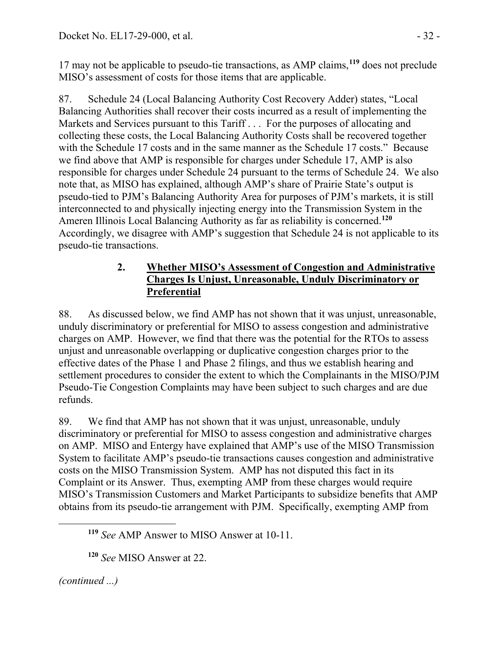17 may not be applicable to pseudo-tie transactions, as AMP claims,**[119](#page-31-0)** does not preclude MISO's assessment of costs for those items that are applicable.

87. Schedule 24 (Local Balancing Authority Cost Recovery Adder) states, "Local Balancing Authorities shall recover their costs incurred as a result of implementing the Markets and Services pursuant to this Tariff . . . For the purposes of allocating and collecting these costs, the Local Balancing Authority Costs shall be recovered together with the Schedule 17 costs and in the same manner as the Schedule 17 costs." Because we find above that AMP is responsible for charges under Schedule 17, AMP is also responsible for charges under Schedule 24 pursuant to the terms of Schedule 24. We also note that, as MISO has explained, although AMP's share of Prairie State's output is pseudo-tied to PJM's Balancing Authority Area for purposes of PJM's markets, it is still interconnected to and physically injecting energy into the Transmission System in the Ameren Illinois Local Balancing Authority as far as reliability is concerned.**[120](#page-31-1)** Accordingly, we disagree with AMP's suggestion that Schedule 24 is not applicable to its pseudo-tie transactions.

### **2. Whether MISO's Assessment of Congestion and Administrative Charges Is Unjust, Unreasonable, Unduly Discriminatory or Preferential**

88. As discussed below, we find AMP has not shown that it was unjust, unreasonable, unduly discriminatory or preferential for MISO to assess congestion and administrative charges on AMP. However, we find that there was the potential for the RTOs to assess unjust and unreasonable overlapping or duplicative congestion charges prior to the effective dates of the Phase 1 and Phase 2 filings, and thus we establish hearing and settlement procedures to consider the extent to which the Complainants in the MISO/PJM Pseudo-Tie Congestion Complaints may have been subject to such charges and are due refunds.

89. We find that AMP has not shown that it was unjust, unreasonable, unduly discriminatory or preferential for MISO to assess congestion and administrative charges on AMP. MISO and Entergy have explained that AMP's use of the MISO Transmission System to facilitate AMP's pseudo-tie transactions causes congestion and administrative costs on the MISO Transmission System. AMP has not disputed this fact in its Complaint or its Answer. Thus, exempting AMP from these charges would require MISO's Transmission Customers and Market Participants to subsidize benefits that AMP obtains from its pseudo-tie arrangement with PJM. Specifically, exempting AMP from

<span id="page-31-1"></span><span id="page-31-0"></span>*(continued ...)*

**<sup>119</sup>** *See* AMP Answer to MISO Answer at 10-11.

**<sup>120</sup>** *See* MISO Answer at 22.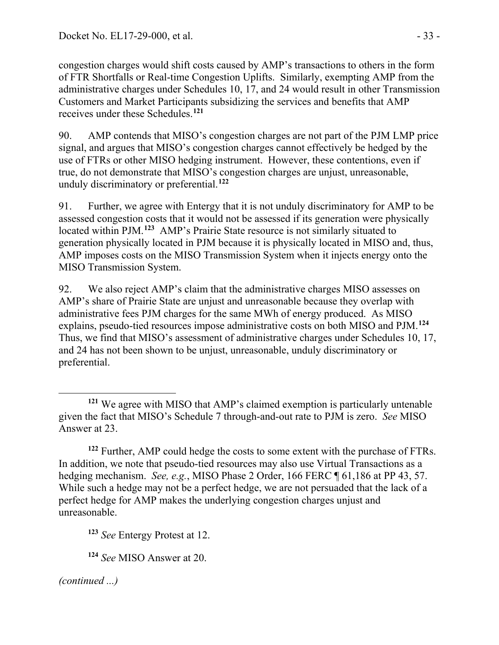congestion charges would shift costs caused by AMP's transactions to others in the form of FTR Shortfalls or Real-time Congestion Uplifts. Similarly, exempting AMP from the administrative charges under Schedules 10, 17, and 24 would result in other Transmission Customers and Market Participants subsidizing the services and benefits that AMP receives under these Schedules.**[121](#page-32-0)**

90. AMP contends that MISO's congestion charges are not part of the PJM LMP price signal, and argues that MISO's congestion charges cannot effectively be hedged by the use of FTRs or other MISO hedging instrument. However, these contentions, even if true, do not demonstrate that MISO's congestion charges are unjust, unreasonable, unduly discriminatory or preferential.**[122](#page-32-1)**

91. Further, we agree with Entergy that it is not unduly discriminatory for AMP to be assessed congestion costs that it would not be assessed if its generation were physically located within PJM. **[123](#page-32-2)** AMP's Prairie State resource is not similarly situated to generation physically located in PJM because it is physically located in MISO and, thus, AMP imposes costs on the MISO Transmission System when it injects energy onto the MISO Transmission System.

92. We also reject AMP's claim that the administrative charges MISO assesses on AMP's share of Prairie State are unjust and unreasonable because they overlap with administrative fees PJM charges for the same MWh of energy produced. As MISO explains, pseudo-tied resources impose administrative costs on both MISO and PJM.**[124](#page-32-3)** Thus, we find that MISO's assessment of administrative charges under Schedules 10, 17, and 24 has not been shown to be unjust, unreasonable, unduly discriminatory or preferential.

<span id="page-32-1"></span>**<sup>122</sup>** Further, AMP could hedge the costs to some extent with the purchase of FTRs. In addition, we note that pseudo-tied resources may also use Virtual Transactions as a hedging mechanism. *See, e.g.*, MISO Phase 2 Order, 166 FERC ¶ 61,186 at PP 43, 57. While such a hedge may not be a perfect hedge, we are not persuaded that the lack of a perfect hedge for AMP makes the underlying congestion charges unjust and unreasonable.

<span id="page-32-2"></span>**<sup>123</sup>** *See* Entergy Protest at 12.

<span id="page-32-3"></span>**<sup>124</sup>** *See* MISO Answer at 20.

<span id="page-32-0"></span> $\overline{a}$ **<sup>121</sup>** We agree with MISO that AMP's claimed exemption is particularly untenable given the fact that MISO's Schedule 7 through-and-out rate to PJM is zero. *See* MISO Answer at 23.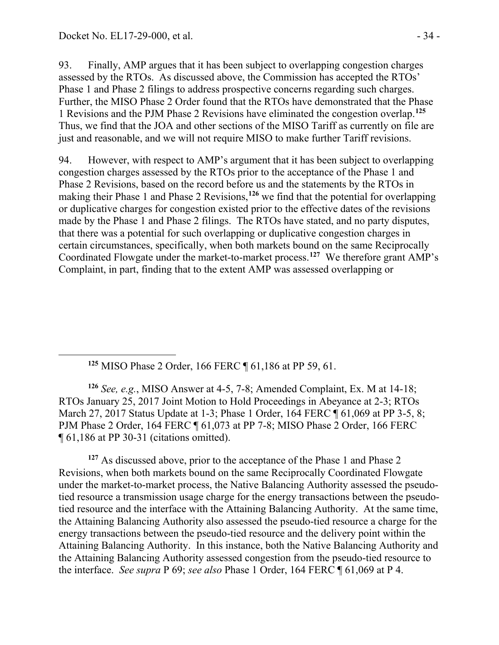<span id="page-33-0"></span>

93. Finally, AMP argues that it has been subject to overlapping congestion charges assessed by the RTOs. As discussed above, the Commission has accepted the RTOs' Phase 1 and Phase 2 filings to address prospective concerns regarding such charges. Further, the MISO Phase 2 Order found that the RTOs have demonstrated that the Phase 1 Revisions and the PJM Phase 2 Revisions have eliminated the congestion overlap.**[125](#page-33-0)** Thus, we find that the JOA and other sections of the MISO Tariff as currently on file are just and reasonable, and we will not require MISO to make further Tariff revisions.

94. However, with respect to AMP's argument that it has been subject to overlapping congestion charges assessed by the RTOs prior to the acceptance of the Phase 1 and Phase 2 Revisions, based on the record before us and the statements by the RTOs in making their Phase 1 and Phase 2 Revisions,**[126](#page-33-1)** we find that the potential for overlapping or duplicative charges for congestion existed prior to the effective dates of the revisions made by the Phase 1 and Phase 2 filings. The RTOs have stated, and no party disputes, that there was a potential for such overlapping or duplicative congestion charges in certain circumstances, specifically, when both markets bound on the same Reciprocally Coordinated Flowgate under the market-to-market process. **[127](#page-33-2)** We therefore grant AMP's Complaint, in part, finding that to the extent AMP was assessed overlapping or

**<sup>125</sup>** MISO Phase 2 Order, 166 FERC ¶ 61,186 at PP 59, 61.

<span id="page-33-1"></span>**<sup>126</sup>** *See, e.g.*, MISO Answer at 4-5, 7-8; Amended Complaint, Ex. M at 14-18; RTOs January 25, 2017 Joint Motion to Hold Proceedings in Abeyance at 2-3; RTOs March 27, 2017 Status Update at 1-3; Phase 1 Order, 164 FERC ¶ 61,069 at PP 3-5, 8; PJM Phase 2 Order, 164 FERC ¶ 61,073 at PP 7-8; MISO Phase 2 Order, 166 FERC ¶ 61,186 at PP 30-31 (citations omitted).

<span id="page-33-2"></span><sup>127</sup> As discussed above, prior to the acceptance of the Phase 1 and Phase 2 Revisions, when both markets bound on the same Reciprocally Coordinated Flowgate under the market-to-market process, the Native Balancing Authority assessed the pseudotied resource a transmission usage charge for the energy transactions between the pseudotied resource and the interface with the Attaining Balancing Authority. At the same time, the Attaining Balancing Authority also assessed the pseudo-tied resource a charge for the energy transactions between the pseudo-tied resource and the delivery point within the Attaining Balancing Authority. In this instance, both the Native Balancing Authority and the Attaining Balancing Authority assessed congestion from the pseudo-tied resource to the interface. *See supra* P 69; *see also* Phase 1 Order, 164 FERC ¶ 61,069 at P 4.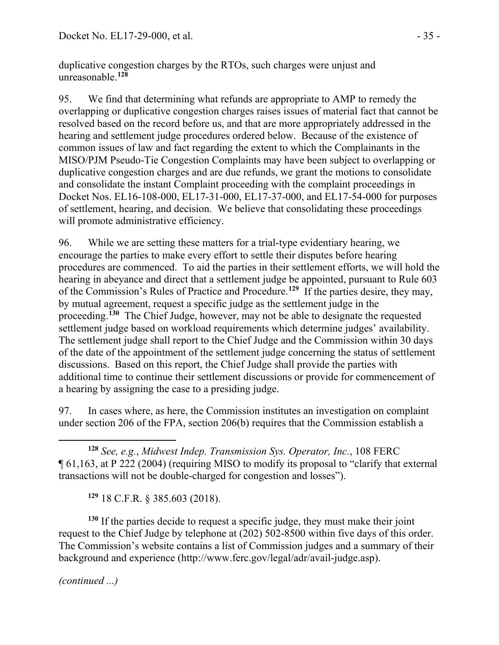duplicative congestion charges by the RTOs, such charges were unjust and unreasonable.**[128](#page-34-0)**

95. We find that determining what refunds are appropriate to AMP to remedy the overlapping or duplicative congestion charges raises issues of material fact that cannot be resolved based on the record before us, and that are more appropriately addressed in the hearing and settlement judge procedures ordered below. Because of the existence of common issues of law and fact regarding the extent to which the Complainants in the MISO/PJM Pseudo-Tie Congestion Complaints may have been subject to overlapping or duplicative congestion charges and are due refunds, we grant the motions to consolidate and consolidate the instant Complaint proceeding with the complaint proceedings in Docket Nos. EL16-108-000, EL17-31-000, EL17-37-000, and EL17-54-000 for purposes of settlement, hearing, and decision. We believe that consolidating these proceedings will promote administrative efficiency.

96. While we are setting these matters for a trial-type evidentiary hearing, we encourage the parties to make every effort to settle their disputes before hearing procedures are commenced. To aid the parties in their settlement efforts, we will hold the hearing in abeyance and direct that a settlement judge be appointed, pursuant to Rule 603 of the Commission's Rules of Practice and Procedure.**[129](#page-34-1)** If the parties desire, they may, by mutual agreement, request a specific judge as the settlement judge in the proceeding.**[130](#page-34-2)** The Chief Judge, however, may not be able to designate the requested settlement judge based on workload requirements which determine judges' availability. The settlement judge shall report to the Chief Judge and the Commission within 30 days of the date of the appointment of the settlement judge concerning the status of settlement discussions. Based on this report, the Chief Judge shall provide the parties with additional time to continue their settlement discussions or provide for commencement of a hearing by assigning the case to a presiding judge.

97. In cases where, as here, the Commission institutes an investigation on complaint under section 206 of the FPA, section 206(b) requires that the Commission establish a

<span id="page-34-0"></span> **<sup>128</sup>** *See, e.g.*, *Midwest Indep. Transmission Sys. Operator, Inc.*, 108 FERC ¶ 61,163, at P 222 (2004) (requiring MISO to modify its proposal to "clarify that external transactions will not be double-charged for congestion and losses").

**<sup>129</sup>** 18 C.F.R. § 385.603 (2018).

<span id="page-34-2"></span><span id="page-34-1"></span>**<sup>130</sup>** If the parties decide to request a specific judge, they must make their joint request to the Chief Judge by telephone at (202) 502-8500 within five days of this order. The Commission's website contains a list of Commission judges and a summary of their background and experience (http://www.ferc.gov/legal/adr/avail-judge.asp).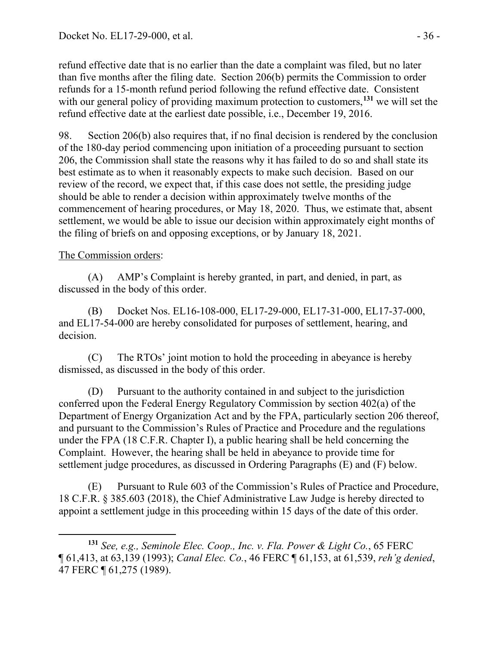refund effective date that is no earlier than the date a complaint was filed, but no later than five months after the filing date. Section 206(b) permits the Commission to order refunds for a 15-month refund period following the refund effective date. Consistent with our general policy of providing maximum protection to customers,<sup>[131](#page-35-0)</sup> we will set the refund effective date at the earliest date possible, i.e., December 19, 2016.

98. Section 206(b) also requires that, if no final decision is rendered by the conclusion of the 180-day period commencing upon initiation of a proceeding pursuant to section 206, the Commission shall state the reasons why it has failed to do so and shall state its best estimate as to when it reasonably expects to make such decision. Based on our review of the record, we expect that, if this case does not settle, the presiding judge should be able to render a decision within approximately twelve months of the commencement of hearing procedures, or May 18, 2020. Thus, we estimate that, absent settlement, we would be able to issue our decision within approximately eight months of the filing of briefs on and opposing exceptions, or by January 18, 2021.

#### The Commission orders:

(A) AMP's Complaint is hereby granted, in part, and denied, in part, as discussed in the body of this order.

(B) Docket Nos. EL16-108-000, EL17-29-000, EL17-31-000, EL17-37-000, and EL17-54-000 are hereby consolidated for purposes of settlement, hearing, and decision.

(C) The RTOs' joint motion to hold the proceeding in abeyance is hereby dismissed, as discussed in the body of this order.

(D) Pursuant to the authority contained in and subject to the jurisdiction conferred upon the Federal Energy Regulatory Commission by section 402(a) of the Department of Energy Organization Act and by the FPA, particularly section 206 thereof, and pursuant to the Commission's Rules of Practice and Procedure and the regulations under the FPA (18 C.F.R. Chapter I), a public hearing shall be held concerning the Complaint. However, the hearing shall be held in abeyance to provide time for settlement judge procedures, as discussed in Ordering Paragraphs (E) and (F) below.

(E) Pursuant to Rule 603 of the Commission's Rules of Practice and Procedure, 18 C.F.R. § 385.603 (2018), the Chief Administrative Law Judge is hereby directed to appoint a settlement judge in this proceeding within 15 days of the date of this order.

<span id="page-35-0"></span> $\overline{a}$ **<sup>131</sup>** *See, e.g., Seminole Elec. Coop., Inc. v. Fla. Power & Light Co.*, 65 FERC ¶ 61,413, at 63,139 (1993); *Canal Elec. Co.*, 46 FERC ¶ 61,153, at 61,539, *reh'g denied*, 47 FERC ¶ 61,275 (1989).